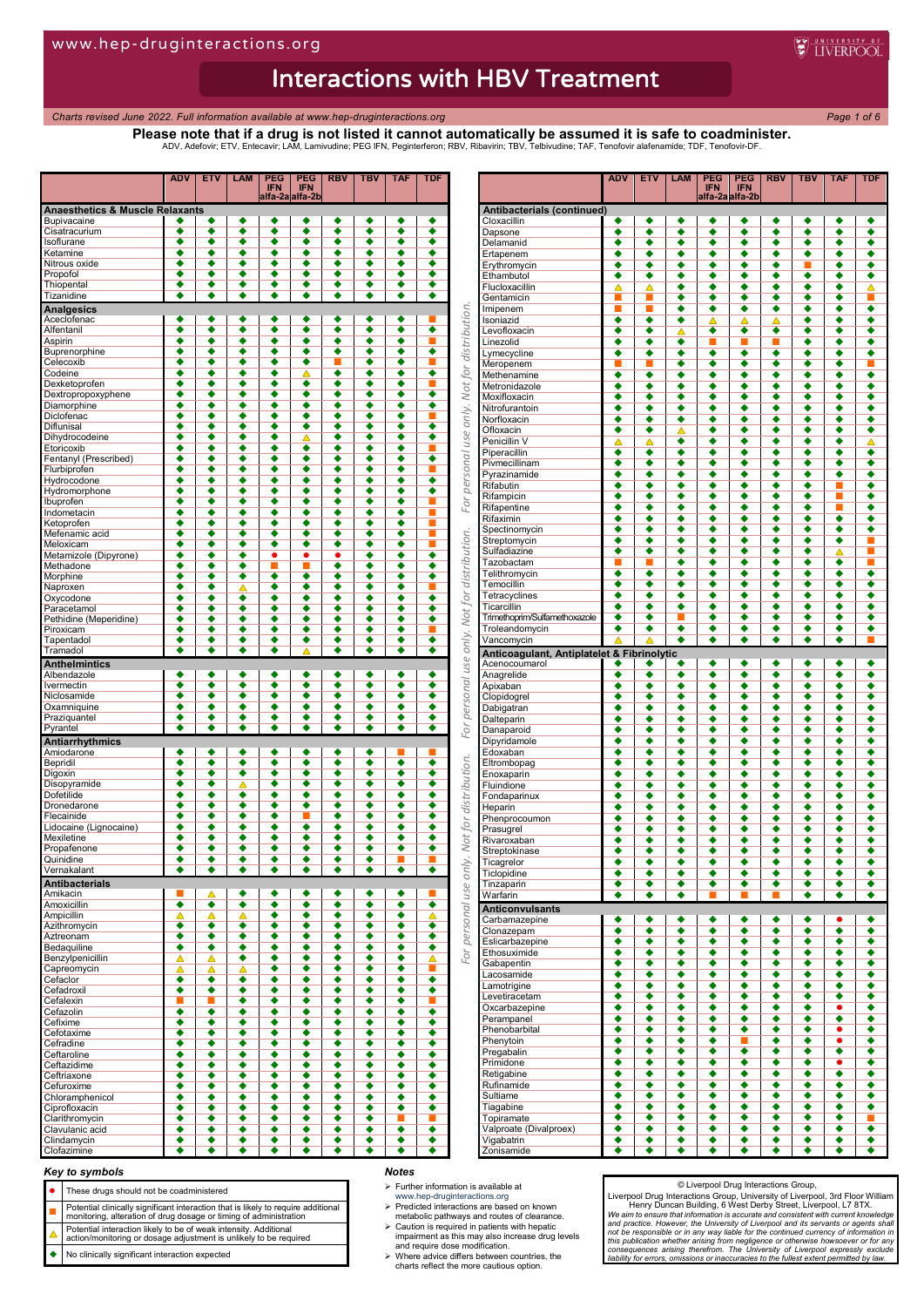# Interactions with HBV Treatment

*Charts revised June 2022. Full information available at www.hep-druginteractions.org* Page 1 **of 6** *Page 1* of 6<sup>*6*</sup>

**Please note that if a drug is not listed it cannot automatically be assumed it is safe to coadminister.** ADV, Adefovir; ETV, Entecavir; LAM, Lamivudine; PEG IFN, Peginterferon; RBV, Ribavirin; TBV, Telbivudine; TAF, Tenofovir alafenamide; TDF, Tenofovir-DF.

**E** INFRPOOL

|                                            | ADV                                          | <b>ETV</b>                | LAM                  | PEG<br><b>IFN</b>    | <b>PEG</b><br><b>IFN</b> | <b>RBV</b>           | TBV                       | <b>TAF</b>           | TDF                       |                   |                                                             | ADV                       | <b>ETV</b>           | LAM                       | <b>PEG</b><br><b>IFN</b>                                                                                                                                                                                                        | PEG<br><b>IFN</b>         | <b>RBV</b>                | TBV                  | <b>TAF</b>           | <b>TDF</b>                              |
|--------------------------------------------|----------------------------------------------|---------------------------|----------------------|----------------------|--------------------------|----------------------|---------------------------|----------------------|---------------------------|-------------------|-------------------------------------------------------------|---------------------------|----------------------|---------------------------|---------------------------------------------------------------------------------------------------------------------------------------------------------------------------------------------------------------------------------|---------------------------|---------------------------|----------------------|----------------------|-----------------------------------------|
| <b>Anaesthetics &amp; Muscle Relaxants</b> |                                              |                           |                      |                      | alfa-2a alfa-2b          |                      |                           |                      |                           |                   | <b>Antibacterials (continued)</b>                           |                           |                      |                           |                                                                                                                                                                                                                                 | alfa-2a alfa-2b           |                           |                      |                      |                                         |
| Bupivacaine                                |                                              | ٠                         | ٠                    | ٠                    | ٠                        | ٠                    | ٠                         | ٠                    | ٠                         |                   | Cloxacillin                                                 | ٠                         | ٠                    | ٠                         | ٠                                                                                                                                                                                                                               | ٠                         | ٠                         | ٠                    | ٠                    |                                         |
| Cisatracurium                              | ٠                                            | ٠                         | ٠                    | ٠                    | ٠                        | ٠                    | ٠                         | ٠                    | ٠                         |                   | Dapsone                                                     | $\overline{\bullet}$      | ٠                    | ٠                         | ٠                                                                                                                                                                                                                               | $\overline{\bullet}$      | ٠                         | ٠                    | ٠                    | ٠                                       |
| Isoflurane<br>Ketamine                     | ٠<br>٠                                       | ٠<br>٠                    | ٠<br>٠               | ٠<br>٠               | ٠<br>٠                   | ٠<br>٠               | ٠<br>٠                    | ٠<br>٠               | ٠<br>٠                    |                   | Delamanid                                                   | ٠                         | ٠<br>٠               | ٠                         | ٠<br>٠                                                                                                                                                                                                                          | ٠                         | ٠                         | ٠<br>٠               | ٠                    | ٠<br>٠                                  |
| Nitrous oxide                              | ٠                                            | ٠                         | ٠                    | ٠                    | ٠                        | ٠                    | ٠                         | ٠                    | ٠                         |                   | Ertapenem<br>Erythromycin                                   | ٠<br>٠                    | ٠                    | ٠<br>٠                    | ٠                                                                                                                                                                                                                               | ٠<br>٠                    | ٠<br>٠                    |                      | ٠<br>٠               | ٠                                       |
| Propofol                                   | ٠                                            | ٠                         | ٠                    | ٠                    | ٠                        | ٠                    | ٠                         | ٠                    | ٠                         |                   | Ethambutol                                                  | ٠                         | ٠                    | ٠                         | ٠                                                                                                                                                                                                                               | ٠                         | ٠                         | ٠                    | ٠                    | ٠                                       |
| Thiopental                                 | ٠                                            | ٠                         | ٠                    | ٠                    | ٠                        | ٠                    | ٠                         | ٠                    | ٠                         |                   | Flucloxacillin                                              | ◭                         |                      | ٠                         | ٠                                                                                                                                                                                                                               | ٠                         | ٠                         | ٠                    | ٠                    | △                                       |
| Tizanidine                                 | ٠                                            | ٠                         | ٠                    | ٠                    | ٠                        | ٠                    | ٠                         | ٠                    | ٠                         |                   | Gentamicin                                                  | ■                         | ш                    | ٠                         | ٠                                                                                                                                                                                                                               | ٠                         | ٠                         | ٠                    | ٠                    | п                                       |
| <b>Analgesics</b><br>Aceclofenac           | ٠                                            | ٠                         | ٠                    | ٠                    | ٠                        | ٠                    | ٠                         | ٠                    |                           | distribution      | Imipenem<br>Isoniazid                                       | ٠                         | ٠                    | ٠<br>٠                    | ٠<br>ᅀ                                                                                                                                                                                                                          | ٠<br>◭                    | ٠<br>ᅀ                    | ٠<br>٠               | ٠<br>٠               | ٠<br>٠                                  |
| Alfentanil                                 | ٠                                            | ٠                         | ٠                    | ٠                    | ٠                        | ٠                    | ٠                         | ٠                    | $\overline{\bullet}$      |                   | Levofloxacin                                                | ٠                         | ٠                    | Δ                         | ٠                                                                                                                                                                                                                               | ٠                         | ٠                         | ٠                    | ٠                    | ▲                                       |
| Aspirin                                    | ٠                                            | ٠                         | ٠                    | ٠                    | ٠                        | ٠                    | $\overline{\bullet}$      | ٠                    |                           |                   | Linezolid                                                   | ٠                         | ٠                    | ٠                         | e en la posta de la posta de la posta de la posta de la posta de la posta de la posta de la posta de la posta<br>La posta de la posta de la posta de la posta de la posta de la posta de la posta de la posta de la posta de la |                           |                           | ٠                    | ٠                    | ٠                                       |
| Buprenorphine<br>Celecoxib                 | ٠<br>٠                                       | ٠<br>٠                    | ٠<br>٠               | ٠<br>٠               | ٠<br>٠                   | ٠                    | ٠<br>٠                    | ٠<br>٠               | ٠<br>▅                    |                   | Lymecycline<br>Meropenem                                    | ٠                         | ٠                    | ٠<br>٠                    | ٠<br>٠                                                                                                                                                                                                                          | ٠<br>٠                    | ٠<br>٠                    | ٠<br>٠               | ٠<br>٠               | ٠<br>г                                  |
| Codeine                                    | ٠                                            | ٠                         | ٠                    | ٠                    |                          | $\overline{\bullet}$ | $\overline{\bullet}$      | ٠                    | $\overline{\bullet}$      | for               | Methenamine                                                 | ٠                         | ٠                    | ٠                         | ٠                                                                                                                                                                                                                               | ٠                         | ٠                         | ٠                    | ٠                    | ٠                                       |
| Dexketoprofen                              | ٠                                            | ٠                         | ٠                    | ٠                    | ٠                        | ٠                    | ٠                         | ٠                    |                           | Not               | Metronidazole                                               | ٠                         | ٠                    | ٠                         | ٠                                                                                                                                                                                                                               | ٠                         | ٠                         | ٠                    | ٠                    | ٠                                       |
| Dextropropoxyphene<br>Diamorphine          | ٠<br>٠                                       | ٠<br>٠                    | ٠<br>٠               | ٠<br>٠               | ٠<br>٠                   | ٠<br>٠               | ٠<br>٠                    | ٠<br>٠               | ٠<br>٠                    |                   | Moxifloxacin                                                | ٠                         | ٠                    | ٠                         | e                                                                                                                                                                                                                               | ٠                         | ٠                         | ٠                    | ٠                    | ∙                                       |
| Diclofenac                                 | ٠                                            | ٠                         | ٠                    | ٠                    | ٠                        | ٠                    | ٠                         | ٠                    |                           | only.             | Nitrofurantoin<br>Norfloxacin                               | ٠<br>٠                    | ٠<br>٠               | ٠<br>٠                    | ٠<br>٠                                                                                                                                                                                                                          | ٠<br>٠                    | ٠<br>٠                    | ٠<br>٠               | ٠<br>٠               | ٠<br>٠                                  |
| <b>Diflunisal</b>                          | $\overline{\bullet}$                         | ٠                         | ٠                    | ٠                    | ٠                        | $\overline{\bullet}$ | ٠                         | ٠                    | $\overline{\bullet}$      |                   | Ofloxacin                                                   | ٠                         | ٠                    | △                         | ٠                                                                                                                                                                                                                               | ٠                         | ٠                         | ٠                    | ٠                    | ٠                                       |
| Dihydrocodeine                             | ٠                                            | ٠                         | ٠                    | ٠                    | Δ                        | ٠                    | ٠                         | ٠                    | ٠                         | use               | Penicillin V                                                | Δ                         | △                    | ٠                         | ٠                                                                                                                                                                                                                               | ٠                         | ٠                         | ٠                    | ٠                    | Δ                                       |
| Etoricoxib<br>Fentanyl (Prescribed)        | ٠<br>٠                                       | ٠<br>٠                    | ٠<br>٠               | ٠<br>٠               | ٠<br>٠                   | ٠<br>٠               | ٠<br>٠                    | ٠<br>٠               | $\overline{\bullet}$      |                   | Piperacillin                                                | $\overline{\bullet}$      | ٠                    | ٠                         |                                                                                                                                                                                                                                 | ٠                         | ٠                         | ٠                    | ٠                    | ٠                                       |
| Flurbiprofen                               | ٠                                            | ٠                         | ٠                    | ٠                    | ٠                        | ٠                    | ٠                         | ٠                    | ▅                         | personal          | Pivmecillinam<br>Pyrazinamide                               | ٠<br>٠                    | ٠<br>٠               | ٠<br>٠                    | ٠<br>٠                                                                                                                                                                                                                          | ٠<br>٠                    | ٠<br>٠                    | ٠<br>٠               | ٠<br>٠               | ٠<br>٠                                  |
| Hydrocodone                                | ٠                                            | ٠                         | ٠                    | ٠                    | ▲                        | ٠                    | $\overline{\bullet}$      | ٠                    | $\overline{\bullet}$      |                   | Rifabutin                                                   | ٠                         | ٠                    | ٠                         | ٠                                                                                                                                                                                                                               | ٠                         | ٠                         | ٠                    | П                    | ٠                                       |
| Hydromorphone<br>Ibuprofen                 | ٠<br>٠                                       | ٠<br>٠                    | ٠<br>٠               | ٠<br>٠               | ٠<br>٠                   | ٠<br>٠               | ٠<br>٠                    | ٠<br>٠               | ٠<br>ш                    |                   | Rifampicin                                                  | ٠                         | ٠                    | ٠                         | ٠                                                                                                                                                                                                                               | ٠                         | ٠                         | ٠                    | ш                    | ٠                                       |
| Indometacin                                | ٠                                            | ۰                         | ٠                    | ٠                    | ٠                        | ٠                    | ٠                         | ٠                    | п                         | For               | Rifapentine                                                 | ٠                         | ٠                    | ٠                         | ٠                                                                                                                                                                                                                               | ٠                         | ٠                         | ٠                    | п                    | ٠                                       |
| Ketoprofen                                 | ٠                                            | ٠                         | ٠                    | ٠                    | ٠                        | ٠                    | ٠                         | ٠                    | п                         |                   | Rifaximin                                                   | ٠                         | ٠                    | ٠                         | ٠                                                                                                                                                                                                                               | ٠                         | ٠                         | ٠                    | ٠                    | ٠                                       |
| Mefenamic acid                             | ٠                                            | ٠                         | ٠                    | ٠                    | ٠                        | $\overline{\bullet}$ | ٠                         | ٠                    | ш                         |                   | Spectinomycin<br>Streptomycin                               | ٠<br>٠                    | ٠<br>٠               | ٠<br>٠                    | ٠<br>٠                                                                                                                                                                                                                          | ٠<br>٠                    | ٠<br>٠                    | ٠<br>٠               | ٠<br>٠               | ٠<br>г                                  |
| Meloxicam<br>Metamizole (Dipyrone)         | ٠<br>٠                                       | ۰<br>٠                    | ٠<br>٠               | ٠                    | ٠                        | ٠<br>٠               | ٠<br>٠                    | ٠<br>٠               | п<br>٠                    | distribution      | Sulfadiazine                                                | ٠                         | ٠                    | ٠                         | ٠                                                                                                                                                                                                                               | ٠                         | ٠                         | ٠                    | Δ                    | $\mathcal{L}^{\text{max}}_{\text{max}}$ |
| Methadone                                  | ٠                                            | ٠                         | ٠                    |                      |                          | $\overline{\bullet}$ | ٠                         | ٠                    | ٠                         |                   | Tazobactam                                                  |                           |                      | ٠                         | ٠                                                                                                                                                                                                                               | ٠                         | ٠                         | ٠                    | ٠                    | г                                       |
| Morphine                                   | ٠                                            | ٠                         | ٠                    | ٠                    | ٠                        | ٠                    | ٠                         | ٠                    | ٠                         |                   | Telithromycin                                               | $\overline{\bullet}$      | ٠                    | ٠                         |                                                                                                                                                                                                                                 | ٠                         | ٠                         | ٠                    | ٠                    | ٠                                       |
| Naproxen                                   | ٠                                            | ٠                         |                      | ٠                    | ٠                        | ٠                    | $\overline{\bullet}$      | ٠                    |                           |                   | Temocillin<br><b>Tetracyclines</b>                          | ٠<br>٠                    | ٠                    | ٠<br>٠                    | ٠<br>٠                                                                                                                                                                                                                          | ٠<br>٠                    | ٠<br>٠                    | ٠                    | ٠<br>٠               | ٠<br>٠                                  |
| Oxycodone<br>Paracetamol                   | ٠<br>٠                                       | ۰                         | ٠                    | ٠<br>٠               | ٠                        | ٠<br>٠               | ٠<br>$\overline{\bullet}$ | ٠                    | ٠<br>٠                    | for               | Ticarcillin                                                 | ٠                         | ٠                    | ٠                         | ٠                                                                                                                                                                                                                               | ٠                         | ٠                         | ٠                    | ٠                    | ٠                                       |
| Pethidine (Meperidine)                     | ٠                                            | ٠                         | ٠                    | ٠                    | ٠                        | ٠                    | ٠                         | ٠                    | ٠                         | Not               | Trimethoprim/Sulfamethoxazole                               | ٠                         | ٠                    |                           | ٠                                                                                                                                                                                                                               | $\overline{\bullet}$      | ٠                         | ٠                    | ٠                    | ٠                                       |
| Piroxicam                                  | ٠                                            | ٠                         | ٠                    | ٠                    | ٠                        | ٠                    | ٠                         | ٠                    |                           |                   | Troleandomycin                                              | ٠                         | ٠                    | ٠                         | ٠                                                                                                                                                                                                                               | ٠                         | ٠                         | ٠                    | ٠                    | ٠                                       |
| Tapentadol<br>Tramadol                     | ٠<br>٠                                       | ٠<br>٠                    | ٠<br>٠               | ٠<br>٠               | ٠                        | ٠<br>٠               | ٠<br>٠                    | ٠<br>٠               | ٠<br>٠                    | only.             | Vancomycin                                                  |                           |                      | ٠                         | ٠                                                                                                                                                                                                                               | ٠                         | ٠                         | ٠                    | ٠                    |                                         |
| <b>Anthelmintics</b>                       |                                              |                           |                      |                      |                          |                      |                           |                      |                           | use               | Anticoagulant, Antiplatelet & Fibrinolytic<br>Acenocoumarol |                           |                      | ٠                         | ▲                                                                                                                                                                                                                               | ٠                         | ٠                         | ٠                    | ٠                    | ٠                                       |
| Albendazole                                | ٠                                            | ٠                         | ٠                    | ٠                    | ٠                        | ٠                    | ٠                         | ٠                    | ٠                         |                   | Anagrelide                                                  | ٠                         | ٠                    | ٠                         | ٠                                                                                                                                                                                                                               | ٠                         | ٠                         | ٠                    | ٠                    | ٠                                       |
| Ivermectin                                 | ٠                                            | ٠                         | ٠                    | ٠                    | ٠                        | ٠                    | ٠                         | ٠                    | ٠                         | personal          | Apixaban                                                    | ٠                         | ٠                    | ٠                         | ٠                                                                                                                                                                                                                               | ٠                         | ٠                         | ٠                    | ٠                    | ∙                                       |
| Niclosamide<br>Oxamniquine                 | ٠<br>٠                                       | ٠<br>٠                    | ٠<br>٠               | ٠<br>٠               | ٠<br>٠                   | ٠<br>٠               | ٠<br>٠                    | ٠<br>٠               | ٠<br>٠                    |                   | Clopidogrel                                                 | ٠                         | ٠                    | ٠                         | ٠<br>٠                                                                                                                                                                                                                          | ٠                         | ٠                         | ٠<br>٠               | ٠                    | ٠<br>٠                                  |
| Praziquantel                               | ٠                                            | ٠                         | ٠                    | ٠                    | ٠                        | ٠                    | ٠                         | ٠                    | $\overline{\bullet}$      |                   | Dabigatran<br>Dalteparin                                    | ٠<br>٠                    | ٠<br>٠               | ٠<br>٠                    | ٠                                                                                                                                                                                                                               | ٠<br>٠                    | ٠<br>٠                    | ٠                    | ٠<br>٠               | ٠                                       |
| Pyrantel                                   | ٠                                            | ٠                         | ٠                    | ٠                    | ٠                        | ٠                    | ٠                         | ٠                    | ٠                         | ð                 | Danaparoid                                                  | ٠                         | ٠                    | ٠                         | ٠                                                                                                                                                                                                                               | ٠                         | ٠                         | ٠                    | ٠                    | ٠                                       |
| Antiarrhythmics                            |                                              |                           |                      |                      |                          |                      |                           |                      |                           |                   | Dipyridamole                                                | ٠                         | ٠                    | ٠                         |                                                                                                                                                                                                                                 | ٠                         | ٠                         | ٠                    | ٠                    |                                         |
| Amiodarone<br>Bepridil                     | ٠<br>٠                                       | ٠<br>٠                    | ٠<br>٠               | ٠<br>٠               | ٠<br>٠                   | ٠<br>٠               | ٠<br>٠                    | ٠                    | ٠                         |                   | Edoxaban<br>Eltrombopag                                     | ٠<br>٠                    | ٠<br>٠               | ٠<br>٠                    | ٠<br>٠                                                                                                                                                                                                                          | ٠<br>٠                    | ٠<br>٠                    | ٠<br>٠               | ٠<br>٠               | ٠<br>٠                                  |
| Digoxin                                    | ٠                                            | $\overline{\bullet}$      | ٠                    | $\overline{\bullet}$ | ٠                        | ٠                    | $\overline{\bullet}$      | ٠                    | $\overline{\bullet}$      | distribution      | Enoxaparin                                                  | ٠                         | ٠                    | ٠                         | ٠                                                                                                                                                                                                                               | ٠                         | ٠                         | ٠                    | ٠                    | ٠                                       |
| Disopyramide                               | ٠                                            | ٠                         |                      | ٠                    | ٠                        | ٠                    | ٠                         | ٠                    | ٠                         |                   | Fluindione                                                  | ٠                         | ٠                    | ٠                         | ٠                                                                                                                                                                                                                               | ٠                         | ٠                         | ٠                    | ٠                    | ٠                                       |
| Dofetilide                                 | ٠                                            | ٠                         | ٠                    | ٠                    | ٠                        | ٠                    | ٠                         | ٠<br>٠               | ٠                         |                   | Fondaparinux                                                | ٠                         | ٠                    | ٠                         | ٠                                                                                                                                                                                                                               | ٠                         | ٠                         | ٠                    | ٠                    | ٠                                       |
| Dronedarone<br>Flecainide                  | ٠<br>٠                                       | ٠<br>٠                    | ٠<br>٠               | ٠<br>٠               | ٠                        | ٠<br>٠               | ٠<br>٠                    | ٠                    | ٠<br>٠                    |                   | Heparin<br>Phenprocoumon                                    | ٠<br>٠                    | ٠<br>٠               | ٠<br>٠                    | ٠<br>٠                                                                                                                                                                                                                          | ٠<br>٠                    | ٠<br>٠                    | ٠<br>٠               | ٠<br>٠               | ∙<br>٠                                  |
| Lidocaine (Lignocaine)                     | $\overline{\bullet}$                         | ٠                         | ٠                    | ٠                    | ٠                        | $\overline{\bullet}$ | ٠                         | ٠                    | ٠                         | for               | Prasugrel                                                   | ٠                         | ٠                    | ٠                         | ٠                                                                                                                                                                                                                               | ٠                         | ٠                         | ٠                    | ٠                    | ٠                                       |
| Mexiletine                                 | ٠                                            | ۰                         | ٠                    | ٠                    | ٠                        | ٠                    | ٠                         | ٠                    | ٠                         | Not               | Rivaroxaban                                                 | ٠                         | ٠                    | ٠                         | ٠                                                                                                                                                                                                                               | ٠                         | ٠                         | ٠                    | ٠                    | ٠                                       |
| Propafenone                                | ٠                                            | ٠                         | ٠                    | ٠                    | ٠                        | ٠                    | ٠                         | ٠                    | ٠                         |                   | Streptokinase                                               | ٠                         | ٠                    | ٠                         | ٠                                                                                                                                                                                                                               | ٠                         | ٠                         | ٠                    | ٠                    | ٠                                       |
| Quinidine<br>Vernakalant                   | ٠                                            | ٠                         | ٠                    | ٠                    | ٠                        | ٠                    | ۰                         | ٠                    | $\overline{\bullet}$      |                   | Ticagrelor                                                  | ٠                         |                      | ٠                         |                                                                                                                                                                                                                                 | ٠                         | ٠                         |                      | ٠                    |                                         |
| <b>Antibacterials</b>                      |                                              |                           |                      |                      |                          |                      |                           |                      |                           | personal use only | Ticlopidine<br>Tinzaparin                                   | ٠<br>٠                    | ٠<br>٠               | ٠<br>٠                    | ٠<br>٠                                                                                                                                                                                                                          | ٠<br>٠                    | ٠<br>۰                    | ٠<br>٠               | ٠<br>٠               | ٠<br>٠                                  |
| Amikacin                                   | ш                                            | Δ                         | ٠                    | ٠                    | ٠                        | ٠                    | ٠                         | ٠                    | п                         |                   | Warfarin                                                    | ٠                         | ٠                    | ٠                         | ■                                                                                                                                                                                                                               | ■                         |                           | ٠                    | ٠                    | ۰                                       |
| <b>Amoxicillin</b>                         | $\overline{\bullet}$                         | ٠                         | ٠                    | ٠                    | ٠                        | ٠                    | $\overline{\bullet}$      | ٠                    | $\overline{\bullet}$      |                   | <b>Anticonvulsants</b>                                      |                           |                      |                           |                                                                                                                                                                                                                                 |                           |                           |                      |                      |                                         |
| Ampicillin<br>Azithromycin                 | Δ<br>$\overline{\bullet}$                    | Δ<br>۰                    | ٠                    | ٠<br>٠               | ٠<br>٠                   | ٠<br>٠               | ۰<br>۰                    | ٠<br>٠               | △<br>٠                    |                   | Carbamazepine                                               | ٠                         | ٠                    | ٠                         | ٠                                                                                                                                                                                                                               | ٠                         | ٠                         | ٠                    | ٠                    | ٠                                       |
| Aztreonam                                  | $\overline{\bullet}$                         | $\overline{\bullet}$      | ٠                    | $\overline{\bullet}$ | ٠                        | $\overline{\bullet}$ | $\overline{\bullet}$      | ٠                    | $\overline{\bullet}$      |                   | Clonazepam                                                  | ٠                         | ٠                    | ٠                         | ۰                                                                                                                                                                                                                               | ٠                         | ۰                         | ٠                    | ٠                    | ۰                                       |
| Bedaquiline                                | $\overline{\bullet}$                         | $\overline{\bullet}$      | ٠                    | ٠                    | ٠                        | ٠                    | $\overline{\bullet}$      | ٠                    | ٠                         |                   | Eslicarbazepine<br>Ethosuximide                             | ٠<br>٠                    | ٠<br>٠               | ٠<br>٠                    | ٠<br>٠                                                                                                                                                                                                                          | ٠<br>٠                    | ٠<br>۰                    | ٠<br>٠               | ٠<br>٠               | ٠<br>٠                                  |
| Benzylpenicillin                           | Δ                                            | Δ                         | ٠                    | ٠                    | ۰                        | $\overline{\bullet}$ | $\overline{\bullet}$      | ٠                    | △                         | For               | Gabapentin                                                  | ٠                         | ٠                    | ٠                         | ٠                                                                                                                                                                                                                               | ٠                         | ٠                         | ٠                    | ٠                    | ۰                                       |
| Capreomycin<br>Cefaclor                    | Δ<br>$\overline{\bullet}$                    | Δ<br>$\overline{\bullet}$ | ٠                    | ٠<br>٠               | ٠<br>٠                   | ٠<br>٠               | ٠<br>٠                    | ٠<br>۰               | п<br>$\overline{\bullet}$ |                   | Lacosamide                                                  | ٠                         | ٠                    | ٠                         | ٠                                                                                                                                                                                                                               | ٠                         | ٠                         | ٠                    | ٠                    | ٠                                       |
| Cefadroxil                                 | $\overline{\bullet}$                         | ٠                         | ٠                    | ٠                    | ٠                        | ٠                    | ۰                         | ٠                    | ۰                         |                   | Lamotrigine                                                 | ٠                         | ٠                    | ٠                         | ٠                                                                                                                                                                                                                               | ٠                         | ٠                         | ٠                    | ٠                    | ٠                                       |
| Cefalexin                                  | п                                            | п                         | ٠                    | ٠                    | ٠                        | ٠                    | ۰                         | ٠                    | п                         |                   | Levetiracetam<br>Oxcarbazepine                              | ٠<br>٠                    | ٠<br>٠               | ٠<br>٠                    | ٠<br>٠                                                                                                                                                                                                                          | ٠<br>٠                    | ٠<br>٠                    | ٠<br>٠               | ٠<br>٠               | ٠<br>٠                                  |
| Cefazolin                                  | $\overline{\bullet}$<br>$\overline{\bullet}$ | $\overline{\bullet}$      | ٠                    | ٠                    | ٠                        | ٠                    | $\overline{\bullet}$      | ٠                    | $\overline{\bullet}$      |                   | Perampanel                                                  | ٠                         | ٠                    | ٠                         | ۰                                                                                                                                                                                                                               | ٠                         | ۰                         | ٠                    | ٠                    | ۰                                       |
| Cefixime<br>Cefotaxime                     | $\overline{\bullet}$                         | ٠<br>٠                    | ٠<br>٠               | ٠<br>٠               | ٠<br>٠                   | ٠<br>٠               | ۰<br>٠                    | ٠<br>٠               | ٠<br>٠                    |                   | Phenobarbital                                               | $\overline{\bullet}$      | $\overline{\bullet}$ | $\overline{\bullet}$      | ٠                                                                                                                                                                                                                               | ٠                         | $\overline{\bullet}$      | $\overline{\bullet}$ | ٠                    | ٠                                       |
| Cefradine                                  | $\overline{\bullet}$                         | $\overline{\bullet}$      | $\overline{\bullet}$ | $\overline{\bullet}$ | ٠                        | $\overline{\bullet}$ | $\overline{\bullet}$      | $\overline{\bullet}$ | $\overline{\bullet}$      |                   | Phenytoin                                                   | $\overline{\bullet}$      | ٠                    | ٠                         | ٠                                                                                                                                                                                                                               | ▉                         | ٠                         | ٠                    | $\bullet$            | ٠                                       |
| Ceftaroline                                | $\overline{\bullet}$                         | $\overline{\bullet}$      | ٠                    | $\overline{\bullet}$ | ٠                        | $\overline{\bullet}$ | $\overline{\bullet}$      | $\overline{\bullet}$ | $\overline{\bullet}$      |                   | Pregabalin<br>Primidone                                     | ٠<br>$\overline{\bullet}$ | ٠<br>٠               | ٠<br>$\overline{\bullet}$ | ٠<br>$\overline{\bullet}$                                                                                                                                                                                                       | $\overline{\bullet}$<br>٠ | ٠<br>$\overline{\bullet}$ | ٠<br>٠               | ٠<br>٠               | ۰<br>$\overline{\bullet}$               |
| Ceftazidime<br>Ceftriaxone                 | $\overline{\bullet}$<br>٠                    | $\overline{\bullet}$<br>٠ | ٠<br>٠               | ٠<br>٠               | ٠<br>٠                   | ٠<br>٠               | $\overline{\bullet}$<br>٠ | ٠<br>٠               | ٠<br>٠                    |                   | Retigabine                                                  | $\overline{\bullet}$      | $\overline{\bullet}$ | $\overline{\bullet}$      | ٠                                                                                                                                                                                                                               | $\overline{\bullet}$      | $\overline{\bullet}$      | $\overline{\bullet}$ | $\overline{\bullet}$ | ٠                                       |
| Cefuroxime                                 | $\overline{\bullet}$                         | ٠                         | ٠                    | ٠                    | ٠                        | ٠                    | ٠                         | ٠                    | ٠                         |                   | Rufinamide                                                  | $\overline{\bullet}$      | ٠                    | ٠                         | ٠                                                                                                                                                                                                                               | $\overline{\bullet}$      | ٠                         | ٠                    | ٠                    | ۰                                       |
| Chloramphenicol                            | $\overline{\bullet}$                         | ٠                         | ٠                    | ٠                    | ٠                        | ٠                    | ٠                         | ٠                    | ٠                         |                   | Sultiame                                                    | ٠                         | ٠                    | ٠                         | ٠                                                                                                                                                                                                                               | ٠                         | ٠                         | ٠                    | ٠                    | ٠                                       |
| Ciprofloxacin                              | $\overline{\bullet}$                         | ٠                         | ٠                    | ٠                    | ٠                        | ٠                    | ٠                         | ٠                    | $\overline{\bullet}$      |                   | Tiagabine                                                   | ٠                         | ٠                    | ٠                         | ۰                                                                                                                                                                                                                               | ٠                         | ٠                         | ٠                    | ٠                    | ٠                                       |
| Clarithromycin<br>Clavulanic acid          | ٠<br>٠                                       | ٠<br>٠                    | ٠<br>٠               | ٠<br>٠               | ٠<br>٠                   | ٠<br>٠               | ٠<br>۰                    | ٠                    | ш<br>۰                    |                   | Topiramate<br>Valproate (Divalproex)                        | ٠<br>٠                    | ٠<br>٠               | ٠<br>٠                    | ٠<br>٠                                                                                                                                                                                                                          | ٠<br>٠                    | ٠<br>۰                    | ٠<br>٠               | ٠<br>٠               | п<br>٠                                  |
| Clindamycin                                | ٠                                            | ٠                         | ٠                    | ٠                    | ٠                        | ٠                    | ٠                         | ٠                    | ٠                         |                   | Vigabatrin                                                  | ٠                         | ٠                    | ٠                         | ٠                                                                                                                                                                                                                               | ٠                         | ۰                         | ٠                    | ٠                    | ٠                                       |
| Clofazimine                                | ٠                                            | ٠                         | ٠                    | ٠                    | ٠                        | ٠                    | ٠                         | ٠                    | ٠                         |                   | Zonisamide                                                  | ٠                         |                      | ٠                         |                                                                                                                                                                                                                                 | ٠                         |                           |                      | ٠                    | ۰                                       |

#### *Key to symbols*

- These drugs should not be coadministered
- 
- **Potential clinically significant interaction that is likely to require additional**<br>monitoring, alteration of drug dosage or timing of administration
- Potential interaction likely to be of weak intensity. Additional
- action/monitoring or dosage adjustment is unlikely to be required

No clinically significant interaction expected

#### *Notes*

- $\triangleright$  Further information is available at
- 
- www.hep-druginteractions.org Predicted interactions are based on known metabolic pathways and routes of clearance.
- 
- Caution is required in patients with hepatic impairment as this may also increase drug levels and require dose modification. Where advice differs between countries, the charts reflect the more cautious option.

#### © Liverpool Drug Interactions Group,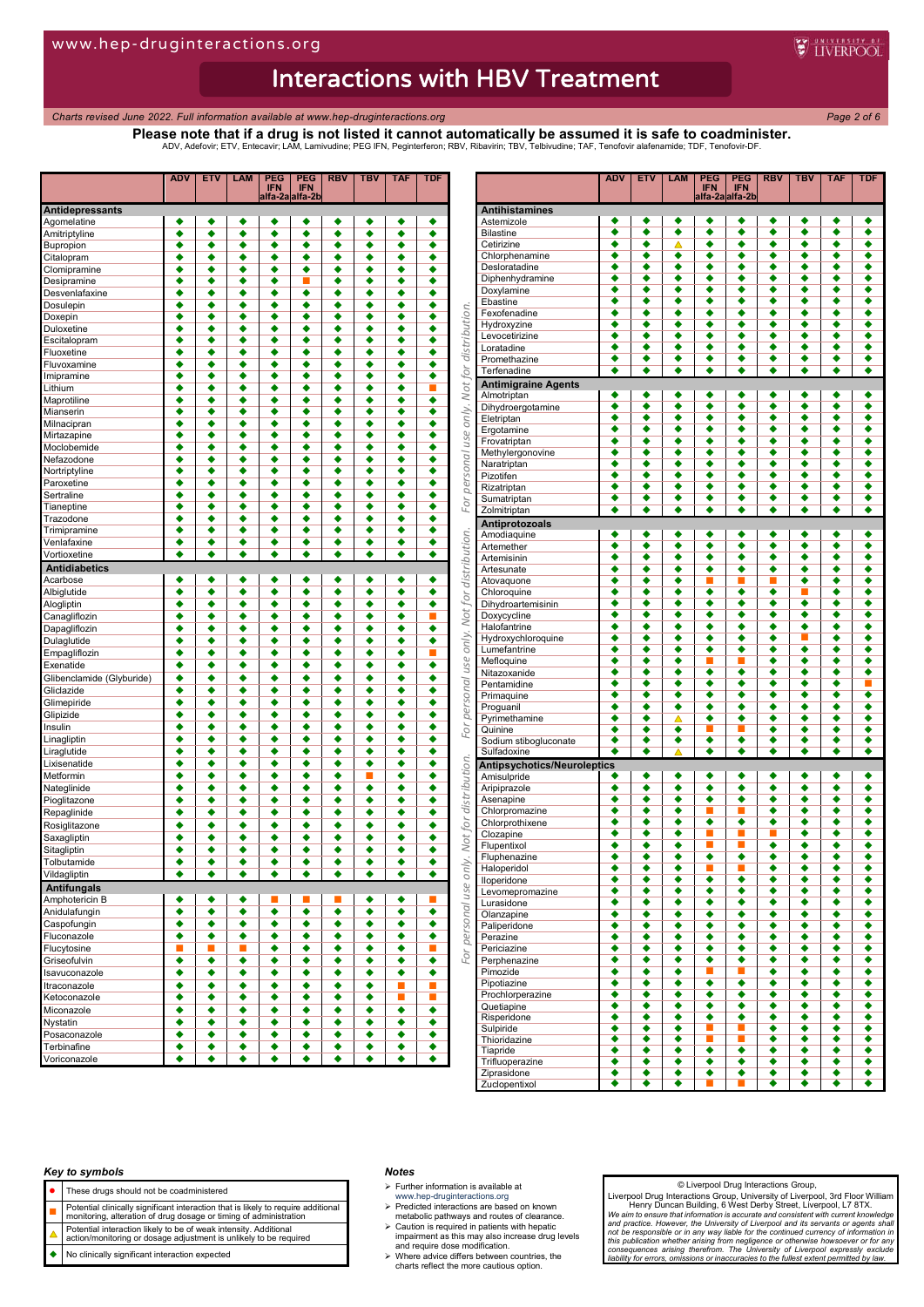# Interactions with HBV Treatment

*Charts revised June 2022. Full information available at www.hep-druginteractions.org Page 2 of 6*

**W** INERPOOL

Please note that if a drug is not listed it cannot automatically be assumed it is safe to coadr ADV, Adefovir; ETV, Entecavir; LAM, Lamivudine; PEG IFN, Peginterferon; RBV, Ribavirin; TBV, Telbivudine; TAF, Tenofovir alafenamide; TDF, Tenofo

|         |           |                                | $1$ agu $2$ vi v |
|---------|-----------|--------------------------------|------------------|
|         | minister. |                                |                  |
| vir-DF. |           |                                |                  |
|         |           |                                |                  |
|         |           | <b>PEG LRBV LTBV LTAF LTDE</b> |                  |

|                             | ADV            | ETV            | LAM          | PEG<br><b>IFN</b> | <b>PEG</b><br><b>IFN</b><br>alfa-2a <mark>alfa-2b</mark> | RBV    | твv    | TAF                         | TDF            |
|-----------------------------|----------------|----------------|--------------|-------------------|----------------------------------------------------------|--------|--------|-----------------------------|----------------|
| <b>Antidepressants</b>      |                |                |              |                   |                                                          |        |        |                             |                |
| Agomelatine                 | ٠              | ٠              | ٠            | ٠                 | ٠                                                        | ٠      | ٠      | ٠                           | ٠              |
| Amitriptyline               | ٠              | ٠              | ٠            | ٠                 | ٠                                                        | ٠      | ٠      | ٠                           | ٠              |
| Bupropion                   | ٠              | ٠              | ٠            | ٠                 | ٠                                                        | ٠      | ٠      | ٠                           | ٠              |
| Citalopram                  | ٠              | ٠              | ٠            | ٠                 | ٠                                                        | ٠      | ٠      | ٠                           | ٠              |
| Clomipramine                | ٠              | ٠              | ٠            | ٠                 | ٠                                                        | ٠      | ٠      | ٠                           | ٠              |
| Desipramine                 | ٠              | ٠              | ٠            | ٠                 | П                                                        | ٠      | ٠      | ٠                           | ٠              |
| Desvenlafaxine              | ٠              | ٠              | ٠            | ٠                 | ٠                                                        | ٠      | ٠      | ٠                           | ٠              |
| Dosulepin                   | ٠              | ٠              | ٠            | ٠                 | ٠                                                        | ٠      | ٠      | ٠                           | ٠              |
| Doxepin                     | ٠              | ٠              | ٠            | ٠                 | ٠                                                        | ٠      | ٠      | ٠                           | ٠              |
| Duloxetine<br>Escitalopram  | ٠<br>٠         | ٠<br>٠         | ٠<br>٠       | ٠<br>٠            | ٠<br>٠                                                   | ٠<br>٠ | ٠<br>٠ | ٠<br>٠                      | ٠<br>٠         |
| Fluoxetine                  | ٠              | ٠              | ٠            | ٠                 | ٠                                                        | ٠      | ٠      | ٠                           | ٠              |
| Fluvoxamine                 | ٠              | ٠              | ٠            | ٠                 | ٠                                                        | ٠      | ٠      | ٠                           | ٠              |
| Imipramine                  | ٠              | ٠              | ٠            | ٠                 | ٠                                                        | ٠      | ٠      | ٠                           | ٠              |
| Lithium                     | ٠              | ٠              | ٠            | ٠                 | ٠                                                        | ٠      | ٠      | ٠                           | П              |
| Maprotiline                 | ٠              | ٠              | ٠            | ٠                 | ٠                                                        | ٠      | ٠      | ٠                           | ٠              |
| Mianserin                   | ٠              | ٠              | ٠            | ٠                 | ٠                                                        | ٠      | ٠      | ٠                           | ٠              |
| Milnacipran                 | ٠              | ٠              | ٠            | ٠                 | ٠                                                        | ٠      | ٠      | ٠                           | ٠              |
| Mirtazapine                 | ٠              | ٠              | ٠            | ٠                 | ٠                                                        | ٠      | ٠      | ٠                           | ٠              |
| Moclobemide                 | ٠              | ٠              | ٠            | ٠                 | ٠                                                        | ٠      | ٠      | ٠                           | ٠              |
| Nefazodone                  | ٠              | ٠              | ٠            | ٠                 | ٠                                                        | ٠      | ٠      | ٠                           | ٠              |
| Nortriptyline               | ٠              | ٠              | ٠            |                   | ٠                                                        | ٠      | ٠      | ٠                           | ٠              |
| Paroxetine                  | ٠              | ٠              | ٠            | ٠                 | ٠                                                        | ٠      | ٠      | ٠                           | ٠              |
| Sertraline                  | ٠              | ٠              | ٠            | ٠                 | ٠                                                        | ٠      | ٠      | ٠                           | ٠              |
| Tianeptine                  | ٠              | ٠              | ٠            | ٠                 | ٠                                                        | ٠      | ٠      | ٠                           | ٠              |
| Trazodone                   | ٠              | ٠              | ٠            | ٠                 | ٠                                                        | ٠      | ٠      | ٠                           | ٠              |
| Trimipramine                | ٠              | ٠<br>٠         | ٠<br>٠       | ٠<br>٠            | ٠<br>٠                                                   | ٠<br>٠ | ٠<br>٠ | ٠<br>٠                      | ٠<br>٠         |
| Venlafaxine<br>Vortioxetine | ٠<br>٠         | ٠              | ٠            | ٠                 | ٠                                                        | ٠      | ٠      | ٠                           | ٠              |
| <b>Antidiabetics</b>        |                |                |              |                   |                                                          |        |        |                             |                |
| Acarbose                    | ٠              | ٠              | ٠            | ٠                 | ٠                                                        | ٠      | ٠      | ٠                           | ٠              |
| Albiglutide                 | ٠              | ٠              | ٠            | ٠                 | ٠                                                        | ٠      | ٠      | ٠                           | ٠              |
| Alogliptin                  | ٠              | ٠              | ٠            | ٠                 | ٠                                                        | ٠      | ٠      | ٠                           | ٠              |
| Canagliflozin               | ٠              | ٠              | ٠            | ٠                 | ٠                                                        | ٠      | ٠      | ٠                           | П              |
| Dapagliflozin               | ٠              | ٠              | ٠            | ٠                 | ٠                                                        | ٠      | ٠      | ٠                           | ٠              |
| Dulaglutide                 | ٠              | ٠              | ٠            | ٠                 | ٠                                                        | ٠      | ٠      | ٠                           | ٠              |
| Empagliflozin               | ٠              | ٠              | ٠            | ٠                 | ٠                                                        | ٠      | ٠      | ٠                           | п              |
| Exenatide                   | ٠              | ٠              | ٠            | ٠                 | ٠                                                        | ٠      | ٠      | ٠                           | ٠              |
| Glibenclamide (Glyburide)   | ٠              | ٠              | ٠            | ٠                 | ٠                                                        | ٠      | ٠      | ٠                           | ٠              |
| Gliclazide                  | ٠              | ٠              | ٠            | ٠                 | ٠                                                        | ٠      | ٠      | ٠                           | ٠              |
| Glimepiride                 | ٠              | ٠              | ٠            | ٠                 | ٠                                                        | ٠      | ٠      | ٠                           | ٠              |
| Glipizide                   | ٠              | ٠              | ٠            | ٠                 | ٠                                                        | ٠      | ٠      | ٠                           | ٠              |
| Insulin                     | ٠              | ٠              | ٠            | ٠                 | ٠                                                        | ٠      | ٠      | ٠                           | ٠              |
| Linagliptin                 | ٠              | ٠              | ٠            | ٠                 | ٠                                                        | ٠      | ٠      | ٠                           | ٠              |
| Liraglutide                 | ٠              | ٠              | ٠            | ٠                 | ٠                                                        | ٠      | ٠      | ٠                           | ٠              |
| Lixisenatide                | ٠              | ٠              | ٠            | ٠                 | ٠                                                        | ٠      | ٠      | ٠                           | ٠              |
| Metformin                   | ٠              | ٠              | ٠            | ٠                 | ٠                                                        | ٠      | П      | ٠                           | ٠              |
| Nateglinide                 | ٠              | ٠              | ٠            | ٠                 | ٠                                                        | ٠      | ٠      | ٠                           | ٠              |
| Pioglitazone                | ٠              | ٠              | ٠            | ٠                 | ٠                                                        | ٠      | ٠      | ٠                           | ٠              |
| Repaglinide                 | ٠              | ٠              | ٠            | ٠                 | ٠                                                        | ٠      | ٠      | ٠                           | ٠              |
| Rosiglitazone               | ٠              | ٠              | ٠            | ٠                 | ٠                                                        | ٠      | ٠      | ٠                           | ٠              |
| Saxagliptin                 | ٠              | ٠              | ٠            | ٠                 | ٠                                                        | ٠      | ٠      | ٠                           | ٠              |
| Sitagliptin                 | ٠              | ٠              | ٠            | ٠                 | ٠                                                        | ٠      | ٠      | ٠                           | ٠              |
| Tolbutamide                 | ٠              | ٠              | ٠            | ٠                 | ٠                                                        | ٠      | ٠      | ٠                           | ٠              |
| Vildagliptin                |                |                |              |                   |                                                          |        |        |                             |                |
| <b>Antifungals</b>          |                |                |              |                   |                                                          |        |        |                             |                |
| Amphotericin B              |                | ٠              |              | ш                 |                                                          | ▅      | ٠      | ٠                           | п              |
| Anidulafungin               | ٠              | ٠              | ٠            | ٠                 | ٠                                                        | ٠      | ٠      | ٠                           | ٠              |
| Caspofungin                 | ٠              | ٠              | ٠            | ٠                 | ٠                                                        | ٠      | ٠      | ٠                           | ٠              |
| Fluconazole                 | ٠              | ٠              | ٠            | ٠                 | ٠                                                        | ٠      | ٠      | ٠                           | ٠              |
| Flucytosine                 | $\blacksquare$ | $\blacksquare$ | $\mathbf{r}$ | ٠                 | ٠                                                        | ٠      | ٠      | ٠                           | $\blacksquare$ |
| Griseofulvin                | ٠              | ٠              | ٠            | ٠                 | ٠                                                        | ٠      | ٠      | ٠                           | ٠              |
| Isavuconazole               | ٠              | ٠              | ٠            | ٠                 | ٠                                                        | ٠      | ٠      | ٠                           | ٠              |
| Itraconazole                | ٠              | ٠              | ٠            | ٠                 | ٠                                                        | ٠      | ٠      | ш                           | D.<br>п        |
| Ketoconazole                | ٠              | ٠              | ٠            | ٠                 | ٠                                                        | ٠      | ٠      | $\mathcal{L}_{\mathcal{A}}$ |                |
| Miconazole                  | ٠<br>٠         | ٠<br>٠         | ٠<br>٠       | ٠<br>٠            | ٠<br>٠                                                   | ٠      | ٠      | ٠                           | ٠              |
| Nystatin<br>Posaconazole    | ٠              | ٠              | ٠            | ٠                 | ٠                                                        | ٠<br>٠ | ٠<br>٠ | ٠<br>٠                      | ٠<br>٠         |
| Terbinafine                 | ٠              | ٠              | ٠            | ٠                 | ٠                                                        | ٠      | ٠      | ٠                           | ٠              |
| Voriconazole                | ٠              | ٠              | ٠            | ٠                 | ٠                                                        | ٠      | ٠      | ٠                           | ٠              |
|                             |                |                |              |                   |                                                          |        |        |                             |                |

|                       |                                 | <b>ADV</b>                | <b>ETV</b> | LAM    | <b>PEG</b><br><b>IFN</b>  | <b>PEG</b><br><b>IFN</b><br>alfa-2a alfa-2b | <b>RBV</b> | <b>TBV</b> | <b>TAF</b> | <b>TDF</b>                |
|-----------------------|---------------------------------|---------------------------|------------|--------|---------------------------|---------------------------------------------|------------|------------|------------|---------------------------|
|                       | <b>Antihistamines</b>           |                           |            |        |                           |                                             |            |            |            |                           |
|                       | Astemizole                      | ٠                         | ٠          | ٠      | ٠                         | ٠                                           | ٠          | ٠          | ٠          | ٠                         |
|                       | <b>Bilastine</b>                | ٠<br>٠                    | ٠<br>٠     | ٠      | ٠<br>٠                    | ٠<br>٠                                      | ٠          | ٠<br>٠     | ٠          | ٠<br>٠                    |
|                       | Cetirizine<br>Chlorphenamine    | ٠                         | ٠          | Δ<br>٠ | ٠                         | ٠                                           | ٠<br>٠     | ٠          | ٠<br>٠     | ٠                         |
|                       | Desloratadine                   | ٠                         | ٠          | ٠      | ٠                         | ٠                                           | ٠          | ٠          | ٠          | ٠                         |
|                       | Diphenhydramine                 | ٠                         | ٠          | ٠      | ٠                         | ٠                                           | ٠          | ٠          | ٠          | ٠                         |
|                       | Doxylamine                      | ٠                         | ٠          | ٠      | ٠                         | ٠                                           | ٠          | ٠          | ٠          | ٠                         |
|                       | Ebastine                        | $\overline{\bullet}$      | ٠          | ٠      | ٠                         | ٠                                           | ٠          | ٠          | ٠          | $\overline{\bullet}$<br>٠ |
| Not for distribution  | Fexofenadine<br>Hydroxyzine     | ٠<br>٠                    | ٠<br>٠     | ٠<br>٠ | ٠<br>٠                    | ٠<br>٠                                      | ٠<br>٠     | ٠<br>٠     | ٠<br>٠     | ٠                         |
|                       | Levocetirizine                  | ٠                         | ٠          | ٠      | ٠                         | ٠                                           | ٠          | ٠          | ٠          | ٠                         |
|                       | Loratadine                      | $\overline{\bullet}$      | ٠          | ٠      | ٠                         | ٠                                           | ٠          | ٠          | ٠          | ٠                         |
|                       | Promethazine                    | ٠                         | ٠          | ٠      | ٠                         | ٠                                           | ٠          | ٠          | ٠          | ٠                         |
|                       | Terfenadine                     | ٠                         | ٠          | ٠      | ٠                         | ٠                                           | ٠          | ٠          | ٠          | ٠                         |
|                       | <b>Antimigraine Agents</b>      |                           |            |        |                           |                                             |            |            |            |                           |
|                       | Almotriptan                     | ٠<br>٠                    | ٠<br>٠     | ٠<br>٠ | ٠<br>٠                    | ٠<br>٠                                      | ٠          | ٠<br>٠     | ٠<br>٠     | ٠<br>٠                    |
| onlv.                 | Dihydroergotamine<br>Eletriptan | ٠                         | ٠          | ٠      | ٠                         | ٠                                           | ٠<br>٠     | ٠          | ٠          | ٠                         |
|                       | Ergotamine                      | ٠                         | ٠          | ٠      | ٠                         | ٠                                           | ٠          | ٠          | ٠          | ٠                         |
| use                   | Frovatriptan                    | $\overline{\bullet}$      | ٠          | ٠      | ٠                         | ٠                                           | ٠          | ٠          | ٠          | ٠                         |
|                       | Methylergonovine                | ٠                         | ٠          | ٠      | ٠                         | ٠                                           | ٠          | ٠          | ٠          | ٠                         |
|                       | Naratriptan                     | ٠                         | ٠          | ٠      | ٠                         | ٠                                           | ٠          | ٠          | ٠          | ٠                         |
| personal              | Pizotifen                       | ٠                         | ٠          | ٠      | ٠                         | ٠                                           | ٠          | ٠          | ٠          | ٠                         |
|                       | Rizatriptan                     | $\overline{\bullet}$      | ٠          | ٠      | ٠                         | ٠                                           | ٠          | ٠          | ٠          | ٠                         |
| For                   | Sumatriptan<br>Zolmitriptan     | ٠<br>٠                    | ٠<br>٠     | ٠<br>٠ | ٠<br>٠                    | ٠<br>٠                                      | ٠<br>٠     | ٠<br>٠     | ٠<br>٠     | ٠<br>٠                    |
|                       | Antiprotozoals                  |                           |            |        |                           |                                             |            |            |            |                           |
|                       | Amodiaquine                     | ٠                         | ٠          | ٠      | ٠                         | ٠                                           | ٠          | ٠          | ٠          | ٠                         |
|                       | Artemether                      | ٠                         | ٠          | ٠      | ٠                         | ٠                                           | ٠          | ٠          | ٠          | ٠                         |
|                       | Artemisinin                     | ٠                         | ٠          | ٠      | ٠                         | ٠                                           | ٠          | ٠          | ٠          | ٠                         |
|                       | Artesunate                      | ٠                         | ٠          | ٠      | ٠                         | ٠                                           | ٠          | ٠          | ٠          | ٠                         |
| Not for distribution. | Atovaquone                      | ٠                         | ٠          | ٠      | п                         | П                                           | п          | ٠          | ٠          | ٠                         |
|                       | Chloroquine                     | ٠                         | ٠          | ٠      | ٠                         | ٠                                           | ٠          | п          | ٠          | ٠                         |
|                       | Dihydroartemisinin              | ٠<br>٠                    | ٠<br>٠     | ٠<br>٠ | ٠<br>٠                    | ٠<br>٠                                      | ٠<br>٠     | ٠<br>٠     | ٠<br>٠     | ٠<br>٠                    |
|                       | Doxycycline<br>Halofantrine     | ٠                         | ٠          | ٠      | ٠                         | ٠                                           | ٠          | ٠          | ٠          | ٠                         |
|                       | Hydroxychloroquine              | ٠                         | ٠          | ٠      | ٠                         | ٠                                           | ٠          | ш          | ٠          | ٠                         |
|                       | Lumefantrine                    | ٠                         | ٠          | ٠      | ٠                         | ٠                                           | ٠          | ٠          | ٠          | ٠                         |
| use only.             | Mefloquine                      | ٠                         | ٠          | ٠      |                           |                                             | ٠          | ٠          | ٠          | ٠                         |
|                       | Nitazoxanide                    | ٠                         | ٠          | ٠      | ٠                         | ٠                                           | ٠          | ٠          | ٠          | ٠                         |
|                       | Pentamidine                     | ٠<br>٠                    | ٠<br>٠     | ٠<br>٠ | ٠<br>٠                    | ٠<br>٠                                      | ٠          | ٠<br>٠     | ٠<br>٠     | ٠                         |
| personal              | Primaquine<br>Proguanil         | ٠                         | ٠          | ٠      | ٠                         | ٠                                           | ٠<br>٠     | ٠          | ٠          | ٠                         |
|                       | Pyrimethamine                   | ٠                         | ٠          | Δ      | ٠                         | ٠                                           | ٠          | ٠          | ٠          | ٠                         |
| For                   | Quinine                         | ٠                         | ٠          | ٠      | п                         | E                                           | ٠          | ٠          | ٠          | ٠                         |
|                       | Sodium stibogluconate           | ٠                         | ٠          | ٠      | ٠                         | ٠                                           | ٠          | ٠          | ٠          | ٠                         |
|                       | Sulfadoxine                     |                           | ٠          | Δ      | ٠                         | ٠                                           | ٠          | ٠          | ٠          | ٠                         |
|                       | Antipsychotics/Neuroleptics     |                           |            |        |                           |                                             |            |            |            |                           |
|                       | Amisulpride                     | ٠                         | ٠          | ٠      | ٠                         | ٠                                           | ٠          | ٠          | ٠          | ٠                         |
|                       | Aripiprazole<br>Asenapine       | ٠<br>٠                    | ٠<br>٠     | ٠<br>٠ | ٠<br>٠                    | ٠<br>٠                                      | ٠<br>٠     | ٠<br>٠     | ٠<br>٠     | ٠<br>٠                    |
|                       | Chlorpromazine                  | ٠                         | ٠          | ٠      | п                         | ■                                           | ٠          | ٠          | ٠          | ٠                         |
| Not for distribution. | Chlorprothixene                 | ٠                         | ٠          | ٠      | ٠                         | ٠                                           | ٠          | ٠          | ٠          | ٠                         |
|                       | Clozapine                       | ٠                         | ٠          | ٠      | п                         | ▉                                           | n a        | ٠          | ٠          | ٠                         |
|                       | Flupentixol                     | ٠                         | ٠          | ٠      | п                         | П                                           | ٠          | ٠          | ٠          | ٠                         |
| ₿                     | Fluphenazine                    | ٠                         | ٠          | ٠      | ٠                         | ٠                                           | ٠          | ٠          | ٠          | ٠                         |
|                       | Haloperidol                     |                           |            |        |                           |                                             |            |            | ٠          |                           |
|                       | lloperidone<br>Levomepromazine  | ٠<br>٠                    | ٠<br>٠     | ٠<br>٠ | ٠<br>٠                    | ٠<br>٠                                      | ٠<br>٠     | ٠<br>٠     | ٠<br>٠     | ٠<br>٠                    |
|                       | Lurasidone                      | ٠                         | ٠          | ٠      | ٠                         | ٠                                           | ٠          | ٠          | ٠          | ٠                         |
|                       | Olanzapine                      | ٠                         | ٠          | ٠      | ٠                         | ٠                                           | ٠          | ٠          | ٠          | ٠                         |
|                       | Paliperidone                    | ٠                         | ٠          | ٠      | ٠                         | ٠                                           | ٠          | ٠          | ٠          | ٠                         |
|                       | Perazine                        | ٠                         | ٠          | ٠      | ٠                         | ٠                                           | ٠          | ٠          | ٠          | ٠                         |
| For personal use onl  | Periciazine                     | ٠                         | ٠          | ٠      | ٠                         | ٠                                           | ٠          | ٠          | ٠          | ٠                         |
|                       | Perphenazine                    | ٠<br>$\overline{\bullet}$ | ٠          | ٠      | ٠<br>П                    | ٠<br>П                                      | ٠          | ٠          | ٠          | ٠                         |
|                       | Pimozide<br>Pipotiazine         | ٠                         | ٠<br>٠     | ٠<br>٠ | ٠                         | ٠                                           | ٠<br>٠     | ٠<br>٠     | ٠<br>٠     | ٠<br>٠                    |
|                       | Prochlorperazine                | ٠                         | ٠          | ٠      | ٠                         | ٠                                           | ٠          | ٠          | ٠          | ٠                         |
|                       | Quetiapine                      | ٠                         | ٠          | ٠      | ٠                         | ٠                                           | ٠          | ٠          | ٠          | ٠                         |
|                       | Risperidone                     | ٠                         | ٠          | ٠      | ٠                         | ٠                                           | ٠          | ٠          | ٠          | ٠                         |
|                       | Sulpiride                       | ٠                         | ٠          | ٠      | $\blacksquare$            | Ξ                                           | ٠          | ٠          | ٠          | ٠                         |
|                       | Thioridazine                    | ٠<br>٠                    | ٠<br>٠     | ٠<br>٠ | п<br>$\overline{\bullet}$ | п<br>$\overline{\bullet}$                   | ٠<br>٠     | ٠<br>٠     | ٠<br>٠     | ٠<br>٠                    |
|                       | Tiapride<br>Trifluoperazine     | ٠                         | ٠          | ٠      | ٠                         | ٠                                           | ٠          | ٠          | ٠          | ٠                         |
|                       | Ziprasidone                     | ٠                         | ٠          | ٠      | ٠                         | ٠                                           | ٠          | ٠          | ٠          | ٠                         |
|                       | Zuclopentixol                   | ٠                         | ٠          | ٠      |                           |                                             | ٠          | ٠          | ٠          | ٠                         |

#### *Key to symbols*

- These drugs should not be coadministered
- 
- **Potential clinically significant interaction that is likely to require additional**<br>monitoring, alteration of drug dosage or timing of administration
- Potential interaction likely to be of weak intensity. Additional action/monitoring or dosage adjustment is unlikely to be required
- No clinically significant interaction expected

#### *Notes*

- $\triangleright$  Further information is available at
- 
- www.hep-druginteractions.org Predicted interactions are based on known metabolic pathways and routes of clearance.
- Caution is required in patients with hepatic impairment as this may also increase drug levels and require dose modification. Where advice differs between countries, the charts reflect the more cautious option.
- 

#### © Liverpool Drug Interactions Group,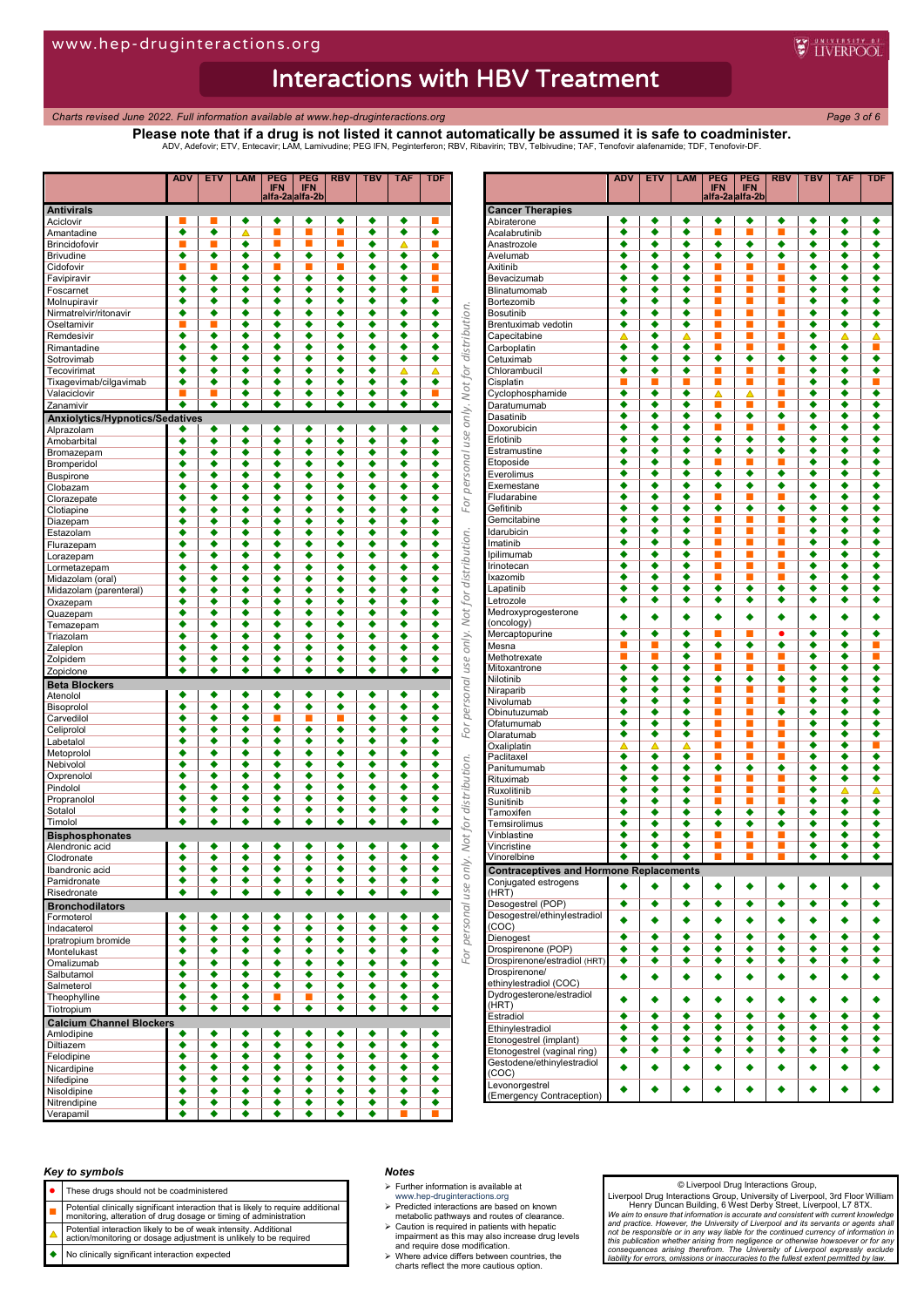# Interactions with HBV Treatment

*Charts revised June 2022. Full information available at www.hep-druginteractions.org Page 3 of 6*

**E** INERPOOL

**Please note that if a drug is not listed it cannot automatically be assumed it is safe to coadminister.** ADV, Adefovir; ETV, Entecavir; LAM, Lamivudine; PEG IFN, Peginterferon; RBV, Ribavirin; TBV, Telbivudine; TAF, Tenofovir alafenamide; TDF, Tenofovir-DF.

|                                           | <b>ADV</b>           | <b>ETV</b> | LAM    | PEG<br><b>IFN</b> | <b>PEG</b><br><b>IFN</b>      | <b>RBV</b> | <b>TBV</b> | <b>TAF</b> | <b>TDF</b>           |               |                                                | ADV                  | <b>ETV</b>           | LAM    | <b>PEG</b><br><b>IFN</b>   | <b>PEG</b><br><b>IFN</b>      | <b>RBV</b> | TBV    | <b>TAF</b> | <b>TDF</b>                |
|-------------------------------------------|----------------------|------------|--------|-------------------|-------------------------------|------------|------------|------------|----------------------|---------------|------------------------------------------------|----------------------|----------------------|--------|----------------------------|-------------------------------|------------|--------|------------|---------------------------|
| <b>Antivirals</b>                         |                      |            |        |                   | alfa-2a <mark>alfa-2</mark> b |            |            |            |                      |               | <b>Cancer Therapies</b>                        |                      |                      |        |                            | alfa-2a <mark>alfa-2</mark> t |            |        |            |                           |
| Aciclovir                                 | г                    |            | ٠      | ٠                 | ٠                             | ٠          | ٠          | ٠          | г                    |               | Abiraterone                                    | ٠                    | ٠                    | ٠      | ٠                          | ٠                             | ٠          | ٠      | ٠          | ٠                         |
| Amantadine                                | ٠                    | ٠          | Δ      | г                 | г                             | п          | ٠          | ٠          | ٠                    |               | Acalabrutinib                                  | ٠                    | ٠                    | ٠      |                            |                               |            | ٠      | ٠          | ٠                         |
| Brincidofovir                             | Ξ                    | ш          | ٠      | п                 | L.                            | п          | ٠          | Δ          |                      |               | Anastrozole                                    | ٠                    | ٠                    | ٠      | ٠                          | ٠                             | ٠          | ٠      | ٠          | ٠                         |
| <b>Brivudine</b>                          | ٠                    | ٠          | ٠      | ٠                 | ٠                             | ٠          | ٠          | ٠          | ٠                    |               | Avelumab                                       | ٠                    | ٠                    | ٠      | ٠                          | ٠                             | ٠          | ٠      | ٠          | ٠                         |
| Cidofovir                                 | Ξ                    | ш          | ٠      | Π                 | L.                            | п          | ٠          | ٠          |                      |               | Axitinib                                       | ٠                    | ٠                    | ٠      | г                          |                               |            | ٠      | ٠          | ٠                         |
| Favipiravir                               | ٠                    | ٠          | ٠      | ٠                 | ٠                             | ٠          | ٠          | ٠          | г                    |               | Bevacizumab                                    | ٠                    | ٠                    | ٠      | п                          | г                             | п          | ٠      | ٠          | ٠                         |
| Foscarnet                                 | ٠                    | ٠          | ٠      | ٠                 | ٠                             | ٠          | ٠          | ٠          |                      |               | Blinatumomab                                   | ٠                    | ٠                    | ٠      | г                          |                               |            | ٠      | ٠          | ٠                         |
| Molnupiravir                              | ٠<br>٠               | ٠          | ٠      | ٠                 | ٠                             | ٠          | ٠          | ٠<br>٠     | ٠                    |               | Bortezomib                                     | ٠<br>٠               | ٠                    | ٠      | ш                          | г                             | п          | ٠<br>٠ | ٠          | ٠                         |
| Nirmatrelvir/ritonavir<br>Oseltamivir     | ■                    | ٠<br>п     | ٠<br>٠ | ٠<br>٠            | ٠<br>٠                        | ٠<br>٠     | ٠<br>٠     | ٠          | ٠<br>٠               | distribution. | Bosutinib<br>Brentuximab vedotin               | ٠                    | ٠<br>٠               | ٠<br>٠ | п                          | П                             | ш          | ٠      | ٠<br>٠     | ٠<br>$\overline{\bullet}$ |
| Remdesivir                                | ٠                    | ٠          | ٠      | ٠                 | ٠                             | ٠          | ٠          | ٠          |                      |               | Capecitabine                                   |                      | ٠                    | Δ      | ■                          | г                             |            | ٠      | △          | Δ                         |
| Rimantadine                               | ٠                    | ٠          | ٠      | ٠                 | ٠                             | ٠          | ٠          | ٠          | ٠                    |               | Carboplatin                                    | ٠                    | ٠                    | ٠      | п                          | г                             | ш          | ٠      | ٠          | п                         |
| Sotrovimab                                | ٠                    | ٠          | ٠      | ٠                 | ٠                             | ٠          | ٠          | ٠          | ٠                    |               | Cetuximab                                      | ٠                    | ٠                    | ٠      | ٠                          | ٠                             | ٠          | ٠      | ٠          | $\overline{\bullet}$      |
| Tecovirimat                               | ٠                    | ٠          | ٠      | ٠                 | ٠                             | ٠          | ٠          | Δ          | △                    |               | Chlorambucil                                   | ٠                    | ٠                    | ٠      | ■                          | г                             |            | ٠      | ٠          | ٠                         |
| Tixagevimab/cilgavimab                    | ٠                    | ٠          | ٠      | ٠                 | ٠                             | ٠          | ٠          | ٠          | ٠                    | for           | Cisplatin                                      |                      | ■                    | ■      | п                          | г                             |            | ٠      | ٠          | ш                         |
| Valaciclovir                              |                      |            | ٠      | ٠                 | ٠                             | ٠          | ٠          | ٠          | н                    | Not           | Cyclophosphamide                               | ٠                    | ٠                    | ٠      | ◭                          | ᅀ                             |            | ٠      | ٠          | ٠                         |
| Zanamivir                                 |                      | ٠          | ٠      | ٠                 | ٠                             | ٠          | ٠          | ٠          | ٠                    |               | Daratumumab                                    | ٠                    | ٠                    | ٠      | п                          |                               | п          | ٠      | ٠          | ٠                         |
| Anxiolytics/Hypnotics/Sedatives           |                      |            |        |                   |                               |            |            |            |                      | only.         | Dasatinib                                      | ٠                    | ٠                    | ٠      | ٠                          | ٠                             | ٠          | ٠      | ٠          | ٠                         |
| Alprazolam                                |                      | ٠          | ٠      | ٠                 | ٠                             | ٠          | ٠          | ٠          | ٠                    |               | Doxorubicin                                    | ٠                    | ٠                    | ٠      | п                          | г                             | ▛          | ٠      | ٠          | ٠                         |
| Amobarbital                               | ٠                    | ٠          | ٠      | ٠                 | ٠                             | ٠          | ٠          | ٠          | ٠                    | use           | Erlotinib                                      | ٠                    | ٠                    | ٠      | ٠                          | ٠                             | ٠          | ٠      | ٠          | ٠                         |
| Bromazepam                                | ٠                    | ٠          | ٠      | ٠                 | ٠                             | ٠          | ٠          | ٠          | ٠                    |               | Estramustine                                   | ٠                    | ٠                    | ٠      | ٠                          | ٠                             | ٠          | ٠      | ٠          | ٠                         |
| Bromperidol                               | ٠                    | ٠          | ٠      | ٠                 | ٠                             | ٠          | ٠          | ٠          | ٠                    |               | Etoposide                                      | ٠                    | ٠                    | ٠      |                            |                               |            | ٠      | ٠          | ٠                         |
| <b>Buspirone</b>                          | ٠                    | ٠          | ٠      | ٠                 | ٠                             | ٠          | ٠          | ٠          | ٠                    | personal      | Everolimus                                     | ٠                    | ٠                    | ٠      | ٠                          | ٠                             | ٠          | ٠      | ٠          | ٠                         |
| Clobazam                                  | ٠                    | ٠          | ٠      | ٠                 | ٠                             | ٠          | ٠          | ٠          | ٠                    |               | Exemestane                                     | ٠                    | ٠                    | ٠      | ٠                          | ٠                             | ٠          | ٠      | ٠          | ٠                         |
| Clorazepate                               | ٠                    | ٠          | ٠      | ٠                 | ٠                             | ٠          | ٠          | ٠          | ٠                    |               | Fludarabine                                    | ٠                    | ٠                    | ٠      | г                          | г                             |            | ٠      | ٠          | ٠                         |
| Clotiapine                                | ٠                    | ٠          | ٠      | ٠                 | ٠                             | ٠          | ٠          | ٠          | ٠                    | For           | Gefitinib                                      | ٠                    | ٠                    | ٠      | ٠                          | ٠                             | ٠          | ٠      | ٠          | ٠                         |
| Diazepam                                  | ٠                    | ٠          | ٠      | ٠                 | ٠                             | ٠          | ٠          | ٠          | ٠                    |               | Gemcitabine                                    | ٠                    | ٠                    | ٠      | п                          | г                             | ш          | ٠      | ٠          | ٠                         |
| Estazolam                                 | ٠                    | ٠          | ٠      | ٠                 | ٠                             | ٠          | ٠          | ٠          | ٠                    |               | darubicin                                      | ٠                    | ٠                    | ٠      | п                          | г                             |            | ٠      | ٠          | ٠                         |
| Flurazepam                                | ٠                    | ٠          | ٠      | ٠                 | ٠                             | ٠          | ٠          | ٠          | ٠                    |               | Imatinib                                       | ٠                    | ٠                    | ٠      | п                          |                               |            | ٠      | ٠          | ٠                         |
| Lorazepam                                 | ٠                    | ٠          | ٠      | ٠                 | ٠                             | ٠          | ٠          | ٠          | ٠                    |               | lpilimumab                                     |                      | ٠                    | ٠      | п                          |                               | ▬          | ٠      | ٠          | ٠                         |
| Lormetazepam                              | ٠                    | ٠          | ٠      | ٠                 | ٠                             | ٠          | ٠          | ٠          | ٠                    |               | Irinotecan                                     | ٠                    | ٠                    | ٠      | ш                          | г                             |            | ٠      | ٠          | ٠                         |
| Midazolam (oral)                          | ٠                    | ٠          | ٠      | ٠                 | ٠                             | ٠          | ٠          | ٠          | ٠                    | distribution. | lxazomib                                       |                      | ٠                    | ٠      | г                          |                               |            | ٠      | ٠          | ٠                         |
| Midazolam (parenteral)                    | ٠                    | ٠          | ٠      | ٠                 | ٠                             | ٠          | ٠          | ٠          | ٠                    |               | Lapatinib                                      | ٠                    | ٠                    | ٠      | ٠                          | ٠                             | ٠          | ٠      | ٠          | ٠                         |
| Oxazepam                                  | ٠                    | ٠          | ٠      | ٠                 | ٠                             | ٠          | ٠          | ٠          | ٠                    | for           | Letrozole                                      | ٠                    | ٠                    | ٠      | ٠                          | ٠                             | ٠          | ٠      | ٠          | ٠                         |
| Quazepam                                  | ٠                    | ٠          | ٠      | ٠                 | ٠                             | ٠          | ٠          | ٠          | ٠                    | Not           | Medroxyprogesterone                            | ٠                    | ٠                    | ٠      | ٠                          | ٠                             |            | ٠      | ٠          | ٠                         |
| Temazepam                                 | ٠                    | ٠          | ٠      | ٠                 | ٠                             | ٠          | ٠          | ٠          | ٠                    |               | (oncology)                                     |                      |                      |        | г                          | г                             | ٠          |        |            |                           |
| Triazolam                                 | ٠                    | ٠          | ٠      | ٠                 | ٠                             | ٠          | ٠          | ٠          | ٠                    | only.         | Mercaptopurine                                 | ٠                    | ٠                    | ٠      |                            |                               |            | ٠      | ٠          | ٠                         |
| Zaleplon                                  | ٠                    | ٠          | ٠      | ٠                 | ٠                             | ٠          | ٠          | ٠          | ٠                    |               | Mesna                                          |                      | ▬                    | ٠      | ٠                          | ٠                             | ٠          | ٠      | ٠          | п<br>п                    |
| Zolpidem                                  | ٠                    | ٠          | ٠      | ٠                 | ٠                             | ٠          | ٠          | ٠          | ٠                    | use           | Methotrexate<br>Mitoxantrone                   | ٠                    | ٠                    | ٠<br>٠ | $\mathcal{L}(\mathcal{L})$ |                               |            | ٠<br>٠ | ٠<br>٠     | $\overline{\bullet}$      |
| Zopiclone                                 | ٠                    | ٠          | ٠      | ٠                 | ٠                             | ٠          | ٠          | ٠          | ٠                    |               | Nilotinib                                      | ٠                    | ٠                    | ٠      | ٠                          | ٠                             | ٠          | ٠      | ٠          | ٠                         |
| <b>Beta Blockers</b>                      |                      |            |        |                   |                               |            |            |            |                      | personal      | Niraparib                                      |                      | ٠                    | ٠      |                            |                               |            | ٠      | ▲          | ٠                         |
| Atenolol                                  | ٠                    | ٠          | ٠      | ٠                 | ٠                             | ٠          | ٠          | ٠          | ٠                    |               | Nivolumab                                      | ٠                    | ٠                    | ٠      | ■                          | г                             |            | ٠      | ٠          | ٠                         |
| Bisoprolol                                | ٠                    | ٠          | ٠      | ٠                 | ٠                             | ٠          | ٠          | ٠          | ٠                    |               | Obinutuzumab                                   |                      | ٠                    | ٠      | п                          | г                             | ٠          | ٠      | ٠          | ٠                         |
| Carvedilol                                | ٠                    | ٠          | ٠      |                   |                               |            | ٠          | ٠          | ٠                    |               | Ofatumumab                                     | ٠                    | ٠                    | ٠      | г                          | г                             |            | ٠      | ٠          | ٠                         |
| Celiprolol                                | ٠                    | ٠          | ٠      | ٠                 | ٠                             | ٠          | ٠          | ٠<br>٠     | ٠<br>٠               | For           | Olaratumab                                     | ٠                    | ٠                    | ٠      | г                          |                               |            | ٠      | ٠          | ٠                         |
| Labetalol                                 | ٠                    | ٠          | ٠      | ٠                 | ٠                             | ٠          | ٠          |            |                      |               | Oxaliplatin                                    |                      | ▵                    |        |                            |                               |            | ٠      | ▲          | П                         |
| Metoprolol                                | ٠<br>٠               | ٠<br>٠     | ٠<br>٠ | ٠<br>٠            | ٠<br>٠                        | ٠<br>٠     | ٠<br>٠     | ٠<br>٠     | ٠<br>٠               |               | Paclitaxel                                     | ٠                    | ٠                    | ٠      | ш                          | г                             |            | ٠      | ٠          | ٠                         |
| Nebivolo<br>Oxprenolol                    | ٠                    | ٠          | ٠      | ٠                 | ٠                             | ٠          | ٠          | ٠          | ٠                    |               | Panitumumab                                    | ٠                    | ٠                    | ٠      | ٠                          | ٠                             | ٠          | ٠      | ٠          | ٠                         |
| Pindolol                                  | ٠                    | ٠          | ٠      | ٠                 | ٠                             | ٠          | ٠          | ٠          | ٠                    | distribution. | Rituximab                                      | ٠                    | ٠                    | ٠      | г                          |                               |            | ٠      | ٠          | ٠                         |
| Propranolol                               | ٠                    | ٠          | ٠      | ٠                 | ٠                             | ٠          | ٠          | ٠          | ٠                    |               | Ruxolitinib                                    | ٠                    | ٠                    | ٠      | ■                          | г                             |            | ٠      | Δ          | Δ                         |
| Sotalol                                   | ٠                    | ٠          | ٠      | ٠                 | ٠                             | ٠          | ٠          | ٠          | ٠                    |               | Sunitinib                                      | ٠                    | ٠                    | ٠      | г                          |                               |            | ٠      | ٠          | ٠                         |
| Timolol                                   | ٠                    | ٠          | ٠      | ٠                 | ٠                             | ٠          | ٠          | ٠          | ٠                    | for           | Tamoxifen<br>Temsirolimus                      | ٠<br>٠               | ٠<br>٠               | ٠<br>٠ | ٠<br>٠                     | ٠<br>٠                        | ٠          | ٠<br>٠ | ▲          | ٠<br>٠                    |
|                                           |                      |            |        |                   |                               |            |            |            |                      |               | Vinblastine                                    | ٠                    | ٠                    | ٠      |                            |                               |            | ٠      | ٠          | ٠                         |
| <b>Bisphosphonates</b><br>Alendronic acid | ٠                    | ٠          |        | ٠                 |                               |            | ٠          | ٠          | ٠                    | Not           | Vincristine                                    | ٠                    | ٠                    | ٠      | ■                          | г                             |            | ٠      | ٠          | ٠                         |
| Clodronate                                | ٠                    | ٠          | ٠      | ٠                 | ٠                             | ٠          | ٠          | ٠          | ٠                    |               | Vinorelbine                                    |                      |                      |        |                            |                               |            |        |            | ٠                         |
| Ibandronic acid                           | ٠                    | ٠          | ٠      | ٠                 | ٠                             | ٠          | ٠          | ٠          | ٠                    |               | <b>Contraceptives and Hormone Replacements</b> |                      |                      |        |                            |                               |            |        |            |                           |
| Pamidronate                               | $\overline{\bullet}$ | ٠          | ٠      | ٠                 | ٠                             | ٠          | ٠          | ۰          | $\overline{\bullet}$ | $\frac{1}{2}$ | Conjugated estrogens                           |                      |                      |        |                            |                               |            |        |            |                           |
| Risedronate                               | ٠                    | ٠          | ٠      | ٠                 | ٠                             | ٠          | ۰          | ۰          | ٠                    | use           | (HRT)                                          | ٠                    |                      | ٠      | ٠                          | ٠                             | ٠          | ٠      | ٠          | ٠                         |
| <b>Bronchodilators</b>                    |                      |            |        |                   |                               |            |            |            |                      |               | Desogestrel (POP)                              | $\overline{\bullet}$ | $\overline{\bullet}$ | ٠      | ٠                          | ٠                             | ٠          | ۰      | ٠          | ۰                         |
| Formoterol                                | ٠                    | ٠          | ٠      | ٠                 | ٠                             | ٠          | ٠          | ٠          | ٠                    |               | Desogestrel/ethinylestradiol                   |                      |                      |        |                            |                               |            |        |            |                           |
| Indacaterol                               | ٠                    | ٠          | ٠      | ٠                 | ٠                             | ٠          | ٠          | ٠          | ٠                    | personal      | (COC)                                          | ٠                    | ٠                    | ٠      | ٠                          | ٠                             | ٠          | ٠      | ٠          | ٠                         |
| Ipratropium bromide                       | ٠                    | ٠          | ٠      | ٠                 | ٠                             | ٠          | ٠          | ٠          | ٠                    |               | Dienogest                                      | ٠                    | $\overline{\bullet}$ | ٠      | ٠                          | ٠                             | ٠          | ٠      | ٠          | $\overline{\bullet}$      |
| Montelukast                               | ٠                    | ٠          | ٠      | ٠                 | ٠                             | ٠          | ٠          | ٠          | ٠                    |               | Drospirenone (POP)                             | ٠                    | ٠                    | ٠      | ٠                          | ٠                             | ٠          | ٠      | ۰          | ۰                         |
| Omalizumab                                | ٠                    | ٠          | ٠      | ٠                 | ٠                             | ٠          | ٠          | ٠          | ٠                    | For           | Drospirenone/estradiol (HRT)                   | ٠                    | ٠                    | ٠      | ٠                          | ٠                             | ٠          | ۰      | ٠          | ۰                         |
| Salbutamol                                | ٠                    | ٠          | ٠      | ٠                 | ٠                             | ٠          | ٠          | ٠          | ٠                    |               | Drospirenone/                                  | ٠                    | ٠                    | ٠      | ٠                          | ٠                             | ٠          | ٠      | ٠          | ٠                         |
| Salmeterol                                | $\overline{\bullet}$ | ٠          | ٠      | ٠                 | ٠                             | ٠          | ٠          | ٠          | ٠                    |               | ethinylestradiol (COC)                         |                      |                      |        |                            |                               |            |        |            |                           |
| Theophylline                              | $\overline{\bullet}$ | ٠          | ٠      | п                 | п                             | ٠          | ٠          | ٠          | ٠                    |               | Dydrogesterone/estradiol                       | ٠                    | ٠                    | ٠      | ٠                          | ٠                             | ٠          | ٠      | ٠          | ٠                         |
| Tiotropium                                | ٠                    | ٠          | ٠      | ٠                 | ٠                             | ٠          | ٠          | ٠          | ٠                    |               | (HRT)                                          |                      |                      |        |                            |                               |            |        |            |                           |
| <b>Calcium Channel Blockers</b>           |                      |            |        |                   |                               |            |            |            |                      |               | Estradiol                                      | ٠                    | ٠                    | ٠      | ٠                          | ٠                             | ٠          | ٠      | ٠          | $\overline{\bullet}$      |
| Amlodipine                                | ٠                    | ٠          | ٠      | ٠                 | ٠                             | ٠          | ٠          | ٠          | ٠                    |               | Ethinylestradiol                               | ٠                    | ٠                    | ٠      | ۰                          | ٠                             | ۰          | ۰      | ۰          | ٠                         |
| Diltiazem                                 | $\overline{\bullet}$ | ٠          | ٠      | ٠                 | ٠                             | ٠          | ٠          | ٠          | ٠                    |               | Etonogestrel (implant)                         | ٠                    | ٠                    | ٠      | ٠                          | ٠                             | ٠          | ۰      | ٠          | $\overline{\bullet}$      |
| Felodipine                                | ٠                    | ٠          | ٠      | ٠                 | ٠                             | ٠          | ٠          | ٠          | ٠                    |               | Etonogestrel (vaginal ring)                    | ٠                    | ٠                    | ٠      | ٠                          | ٠                             | ٠          | ۰      | ۰          | $\overline{\bullet}$      |
| Nicardipine                               | ٠                    | ٠          | ٠      | ٠                 | ٠                             | ٠          | ٠          | ۰          | ٠                    |               | Gestodene/ethinylestradiol                     | ٠                    | ۰                    | ٠      | ٠                          | ٠                             | ٠          | ٠      | ٠          | ٠                         |
| Nifedipine                                | ٠                    | ٠          | ٠      | ٠                 | ٠                             | ٠          | ٠          | ۰          | ٠                    |               | (COC)                                          |                      |                      |        |                            |                               |            |        |            |                           |
| Nisoldipine                               | ٠                    | ٠          | ٠      | ٠                 | ٠                             | ٠          | ۰          | ۰          | ٠                    |               | Levonorgestrel                                 | ٠                    | ٠                    |        | ٠                          | ٠                             |            | ٠      | ٠          | ٠                         |
| Nitrendipine                              | ٠                    | ٠          | ٠      | ٠                 | ٠                             | ٠          | ٠          | ۰          | ٠                    |               | (Emergency Contraception)                      |                      |                      |        |                            |                               |            |        |            |                           |
| Verapamil                                 | ٠                    | ٠          | ٠      | ٠                 | ٠                             | ٠          | ٠          | <b>COL</b> | u.                   |               |                                                |                      |                      |        |                            |                               |            |        |            |                           |

#### *Key to symbols*

- These drugs should not be coadministered
- 
- **Potential clinically significant interaction that is likely to require additional**<br>monitoring, alteration of drug dosage or timing of administration
- Potential interaction likely to be of weak intensity. Additional action/monitoring or dosage adjustment is unlikely to be required
- No clinically significant interaction expected

#### *Notes*

- $\triangleright$  Further information is available at
- 
- 
- Caution is required in patients with hepatic impairment as this may also increase drug levels and require dose modification. Where advice differs between countries, the charts reflect the more cautious option.
- 

#### © Liverpool Drug Interactions Group,

Liverpool Drug Interactions Group, University of Liverpool, 3rd Floor William<br>Henry Duncan Building, 6 West Derby Street, Liverpool, L7 8TX.<br>We aim to ensure that information is accurate and consistent with current knowled

# www.hep-druginteractions.org Predicted interactions are based on known metabolic pathways and routes of clearance.

- 
-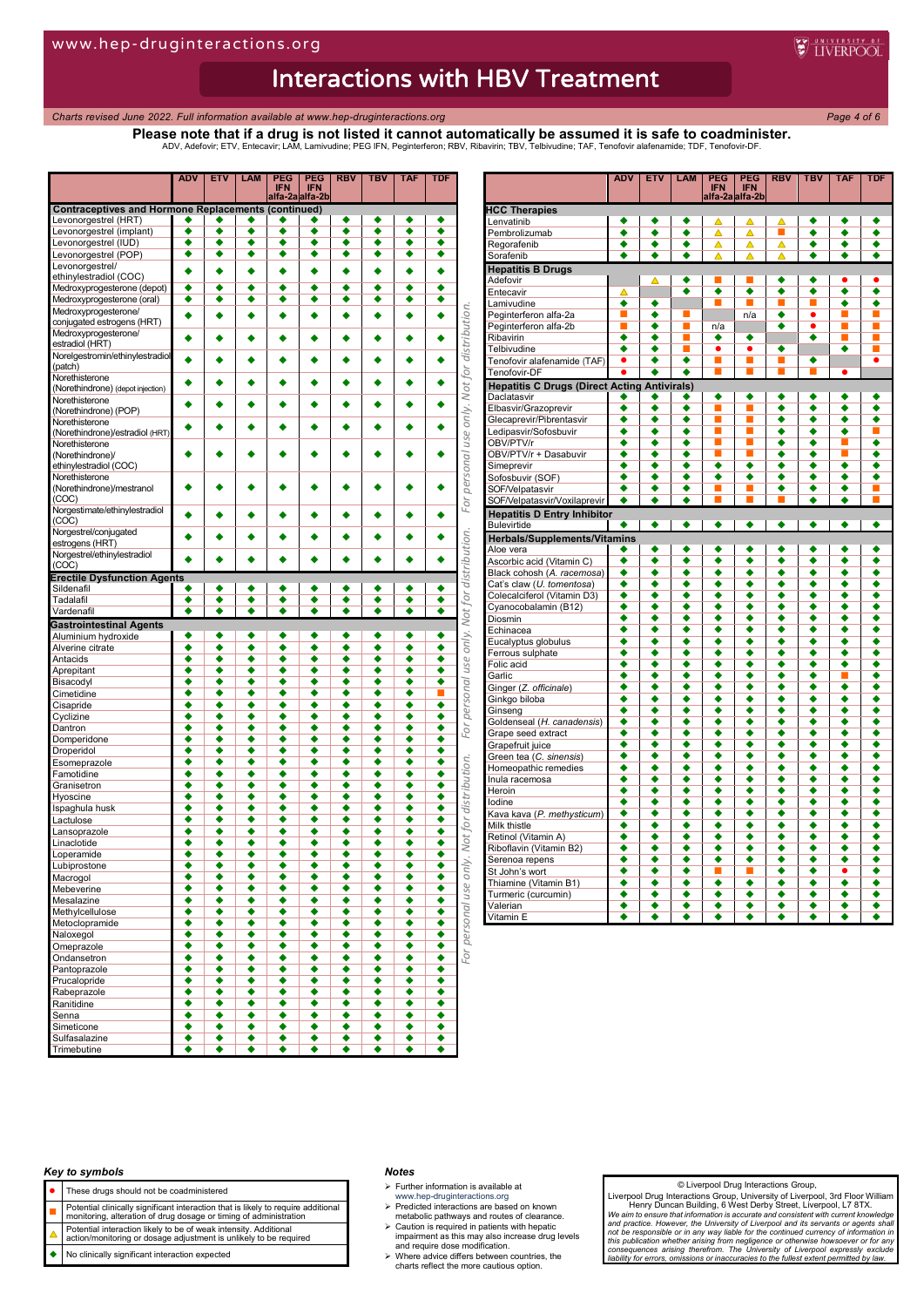## Interactions with HBV Treatment

*Charts revised June 2022. Full information available at www.hep-druginteractions.org* Page 4*of 6 Page 4 of 6 Page 4 of 6* 

**WEINERPOOL** 

**Please note that if a drug is not listed it cannot automatically be assumed it is safe to coadminister.** ADV, Adefovir; ETV, Entecavir; LAM, Lamivudine; PEG IFN, Peginterferon; RBV, Ribavirin; TBV, Telbivudine; TAF, Tenofovir alafenamide; TDF, Tenofovir-DF.

|                                                              | ADV                  | ETV    | LAM    | <b>PEG</b><br><b>IFN</b> | <b>PEG</b><br><b>IFN</b><br>alfa-2a <mark>alfa-2b</mark> | <b>RBV</b>       | твv                  | TAF                  | TDF                  |                   |
|--------------------------------------------------------------|----------------------|--------|--------|--------------------------|----------------------------------------------------------|------------------|----------------------|----------------------|----------------------|-------------------|
| <b>Contraceptives and Hormone Replacements (continued)</b>   |                      |        |        |                          |                                                          |                  |                      |                      |                      |                   |
| Levonorgestrel (HRT)                                         | ٠                    | ٠      | ٠      | ٠                        | ٠                                                        | ٠                |                      |                      | ٠                    |                   |
| Levonorgestrel (implant)                                     | ٠                    | ٠      | ٠      | ٠                        | ٠                                                        | ٠                | ٠                    | ٠                    | ٠                    |                   |
| Levonorgestrel (IUD)                                         | ٠                    | ٠      | ٠      | ٠                        | ٠                                                        | ٠                | ٠                    | ٠                    | ٠                    |                   |
| Levonorgestrel (POP)<br>Levonorgestrel/                      | ٠                    | ٠      | ٠      | ٠                        | ٠                                                        | ٠                | ٠                    | ٠                    | ٠                    |                   |
| ethinylestradiol (COC)                                       | ٠                    | ٠      | ٠      | ٠                        |                                                          |                  |                      |                      |                      |                   |
| Medroxyprogesterone (depot)                                  | ٠                    | ٠      | ٠      | ٠                        | ٠                                                        | ٠                | ٠                    | ٠                    | ٠                    |                   |
| Medroxyprogesterone (oral)                                   | ٠                    | ٠      | ٠      | ٠                        | ٠                                                        | ٠                | ٠                    | ٠                    | ٠                    |                   |
| Medroxyprogesterone/                                         |                      |        |        | ٠                        |                                                          |                  |                      |                      | ٠                    |                   |
| conjugated estrogens (HRT)                                   |                      |        |        |                          |                                                          |                  |                      |                      |                      |                   |
| Medroxyprogesterone/<br>estradiol (HRT)                      |                      |        |        | ٠                        |                                                          |                  |                      |                      |                      | for distribution. |
| Norelgestromin/ethinylestradiol<br>(patch)                   |                      |        |        |                          |                                                          |                  |                      |                      |                      |                   |
| Norethisterone                                               |                      |        |        |                          |                                                          |                  |                      |                      |                      |                   |
| (Norethindrone) (depot injection)                            |                      |        |        |                          |                                                          |                  |                      |                      |                      | Not:              |
| Norethisterone<br>(Norethindrone) (POP)                      |                      |        |        |                          |                                                          |                  |                      |                      |                      | only.             |
| Norethisterone                                               |                      |        |        |                          |                                                          |                  |                      |                      |                      |                   |
| (Norethindrone)/estradiol (HRT)                              |                      |        |        |                          |                                                          |                  |                      |                      |                      |                   |
| Norethisterone<br>(Norethindrone)/<br>ethinylestradiol (COC) |                      |        |        |                          |                                                          |                  |                      |                      |                      | personal use      |
| Norethisterone                                               |                      |        |        |                          |                                                          |                  |                      |                      |                      |                   |
| (Norethindrone)/mestranol<br>(COC)                           |                      |        |        |                          |                                                          |                  |                      |                      |                      |                   |
| Norgestimate/ethinylestradiol<br>(COC)                       |                      |        |        |                          |                                                          |                  |                      |                      |                      | For:              |
| Norgestrel/conjugated<br>estrogens (HRT)                     |                      |        |        |                          |                                                          |                  |                      |                      |                      |                   |
| Norgestrel/ethinylestradiol<br>(COC)                         |                      |        |        |                          |                                                          |                  |                      |                      |                      | distribution      |
| <b>Erectile Dysfunction Agents</b>                           |                      |        |        |                          |                                                          |                  |                      |                      |                      |                   |
| Sildenafil                                                   |                      | ٠      | ٠      | ٠                        |                                                          |                  | ٠                    | ٠                    | ٠                    |                   |
| Tadalafil                                                    | $\overline{\bullet}$ | ٠      | ٠      | ٠                        | ٠                                                        | ٠                | $\overline{\bullet}$ | ٠                    | $\overline{\bullet}$ | Not for           |
| Vardenafil                                                   | ٠                    | ٠      | ٠      | ٠                        | ٠                                                        | ٠                | ٠                    | ٠                    | ٠                    |                   |
| <b>Gastrointestinal Agents</b>                               |                      |        |        |                          |                                                          |                  |                      |                      |                      |                   |
| Aluminium hydroxide                                          | ٠                    | ٠      | ٠      | ٠                        | ٠                                                        | ٠                | ٠                    | ٠                    | ٠                    | only.             |
| Alverine citrate<br>Antacids                                 | ٠<br>٠               | ٠<br>٠ | ٠<br>٠ | ٠<br>٠                   | ٠<br>٠                                                   | ٠<br>٠           | ٠<br>٠               | ٠<br>٠               | ٠<br>٠               |                   |
| Aprepitant                                                   | ٠                    | ٠      | ٠      | ٠                        | ٠                                                        | ٠                | ٠                    | ٠                    | ٠                    |                   |
| Bisacodyl                                                    | ٠                    | ٠      | ٠      | ٠                        | ٠                                                        | ٠                | ٠                    | ٠                    | ٠                    |                   |
| Cimetidine                                                   | ٠                    | ٠      | ٠      | ٠                        | ٠                                                        | ٠                | ٠                    | ٠                    | П                    | personal use      |
| Cisapride                                                    | ٠                    | ٠      | ٠      | ٠                        | ٠                                                        | ٠                | ٠                    | ٠                    | ٠                    |                   |
| Cyclizine                                                    | ٠                    | ٠      | ٠      | ٠                        | ٠                                                        | ٠                | ٠                    | ٠                    | ٠                    |                   |
| Dantron                                                      | ٠                    | ٠      | ٠      | ٠                        | ٠                                                        | ٠                | ٠                    | ٠                    | ٠                    | For               |
| Domperidone<br>Droperidol                                    | ٠<br>٠               | ٠<br>٠ | ٠<br>٠ | ٠<br>٠                   | ٠<br>٠                                                   | ٠<br>٠           | ٠<br>٠               | ٠<br>٠               | ٠<br>٠               |                   |
| Esomeprazole                                                 | ٠                    | ٠      | ٠      | ٠                        | ٠                                                        | ٠                | ٠                    | ٠                    | ٠                    |                   |
| Famotidine                                                   | ٠                    | ٠      | ٠      | ٠                        | ٠                                                        | ٠                | ٠                    | ٠                    | ٠                    |                   |
| Granisetron                                                  | ٠                    | ٠      | ٠      | ٠                        | ٠                                                        | ٠                | ٠                    | ٠                    | ٠                    |                   |
| Hyoscine                                                     | ٠                    | ٠      | ٠      | ٠                        | ٠                                                        | ٠                | ٠                    | ٠                    | ٠                    | distribution      |
| Ispaghula husk                                               | ٠                    | ٠      | ٠      | ٠                        | ٠                                                        | ٠                | ٠                    | ٠                    | ٠                    |                   |
| Lactulose                                                    | ٠                    | ٠      | ٠      | ٠                        | ٠                                                        | ٠                | ٠                    | ٠                    | ٠                    | for               |
| Lansoprazole<br>Linaclotide                                  | ٠<br>٠               | ٠<br>٠ | ٠<br>٠ | ٠<br>٠                   | ٠<br>٠                                                   | ٠<br>٠           | ٠<br>٠               | ٠<br>٠               | ٠<br>٠               | Not               |
| Loperamide                                                   | ٠                    | ٠      | ٠      | ٠                        | ٠                                                        | ٠                | ٠                    | ٠                    | ٠                    |                   |
| Lubiprostone                                                 |                      |        |        | ٠                        |                                                          |                  |                      | ٠                    |                      | only.             |
| Macrogol                                                     |                      | ٠      | ٠      | ٠                        | ٠                                                        | ٠                | ٠                    | ٠                    | ٠                    |                   |
| Mebeverine                                                   | $\overline{\bullet}$ | ٠      | ٠      | $\overline{\bullet}$     | $\overline{\bullet}$                                     | ٠                | $\overline{\bullet}$ | $\overline{\bullet}$ | ٠                    |                   |
| Mesalazine                                                   | ٠                    | ٠      | ٠      | ٠                        | ٠                                                        | ٠                | ٠                    | ٠                    | ٠                    |                   |
| Methylcellulose                                              | ٠<br>٠               | ٠<br>٠ | ٠<br>٠ | ٠<br>٠                   | ٠<br>٠                                                   | ٠<br>٠           | ٠<br>٠               | ٠<br>٠               | ٠<br>٠               |                   |
| Metoclopramide<br>Naloxegol                                  | ٠                    | ٠      | ٠      | ٠                        | ٠                                                        | ٠                | ٠                    | ٠                    | ٠                    |                   |
| Omeprazole                                                   | ٠                    | ٠      | ٠      | ٠                        | ٠                                                        | ٠                | ٠                    | ٠                    | ٠                    | For personal use  |
| Ondansetron                                                  | ٠                    | ۰      | ٠      | ٠                        | ٠                                                        | ٠                | ٠                    | ٠                    | ۰                    |                   |
| Pantoprazole                                                 | ٠                    | ٠      | ٠      | ٠                        | ٠                                                        | ٠                | ٠                    | ٠                    | ٠                    |                   |
| Prucalopride                                                 | ٠                    | ٠      | ∙      | ٠                        | ٠                                                        | ٠                | ٠                    | ٠                    | ٠                    |                   |
| Rabeprazole                                                  | ٠                    | ٠      | ٠      | ٠                        | ٠                                                        | ٠                | ٠                    | ٠                    | ٠                    |                   |
| Ranitidine<br>Senna                                          | ٠<br>٠               | ٠<br>٠ | ٠<br>٠ | ٠<br>٠                   | ٠<br>٠                                                   | ٠<br>٠           | ٠<br>٠               | ٠<br>٠               | ٠<br>٠               |                   |
| Simeticone                                                   | ٠                    | ٠      | ٠      | ٠                        | ٠                                                        | ٠                | ٠                    | ٠                    | ٠                    |                   |
| Sulfasalazine                                                | ٠                    | ٠      | ٠      | $\overline{\bullet}$     | ٠                                                        | $\ddot{\bullet}$ | ٠                    | $\overline{\bullet}$ | ٠                    |                   |
| Trimebutine                                                  | ٠                    | ٠      | ٠      | ٠                        | ٠                                                        | ٠                | ٠                    | ٠                    | ٠                    |                   |

|                                                     | <b>ADV</b>           | <b>ETV</b>           | LAM                  | <b>PEG</b><br><b>IFN</b> | <b>PEG</b><br><b>IFN</b><br>alfa-2a <mark>alfa-2</mark> b | <b>RBV</b> | <b>TBV</b>           | <b>TAF</b>           | <b>TDF</b>           |
|-----------------------------------------------------|----------------------|----------------------|----------------------|--------------------------|-----------------------------------------------------------|------------|----------------------|----------------------|----------------------|
| <b>HCC Therapies</b>                                |                      |                      |                      |                          |                                                           |            |                      |                      |                      |
| Lenvatinib                                          |                      |                      |                      | ▵                        | Δ                                                         |            |                      |                      |                      |
| Pembrolizumab                                       | ٠                    | ٠                    | ٠                    | Δ                        | Δ                                                         |            | ٠                    | ٠                    | ٠                    |
| Regorafenib                                         | ٠                    | ٠                    | ٠                    | ▵                        | Δ                                                         | Δ          | ٠                    | ٠                    | ٠                    |
| Sorafenib                                           | ٠                    | ٠                    | ٠                    | △                        | Δ                                                         | Δ          | ٠                    | ٠                    | ٠                    |
| <b>Hepatitis B Drugs</b>                            |                      |                      |                      |                          |                                                           |            |                      |                      |                      |
| Adefovir                                            |                      | Δ                    | ٠                    | п                        | ■                                                         | ٠          | ٠                    | ٠                    | ٠                    |
| Entecavir                                           | Δ                    |                      | $\overline{\bullet}$ | $\overline{\bullet}$     | $\overline{\bullet}$                                      | ٠          | $\overline{\bullet}$ | $\overline{\bullet}$ | $\overline{\bullet}$ |
| Lamivudine                                          | ٠                    | ٠                    |                      |                          |                                                           |            |                      | ٠                    | ٠                    |
| Peginterferon alfa-2a                               | П                    | ٠                    |                      |                          | n/a                                                       | ٠          |                      |                      | П                    |
| Peginterferon alfa-2b                               | П                    | ٠                    | П                    | n/a                      |                                                           | ٠          | $\bullet$            | ■                    | п                    |
| Ribavirin                                           | $\overline{\bullet}$ | ٠                    | п                    | ٠                        | ٠                                                         |            | $\overline{\bullet}$ | п                    | п                    |
| Telbivudine                                         | ٠                    | ٠                    |                      | $\bullet$                | ٠                                                         | ٠          |                      | ٠                    |                      |
| Tenofovir alafenamide (TAF)                         | $\bullet$            | ٠                    | ٠                    | п                        | п                                                         | П          | ٠                    |                      | $\bullet$            |
| Tenofovir-DF                                        | ă                    | ٠                    | ٠                    | ٦                        | ■                                                         |            |                      | ٠                    |                      |
| <b>Hepatitis C Drugs (Direct Acting Antivirals)</b> |                      |                      |                      |                          |                                                           |            |                      |                      |                      |
| Daclatasvir                                         |                      | ٠                    |                      | ٠                        | ٠                                                         | ٠          | ٠                    | ٠                    | ٠                    |
| Elbasvir/Grazoprevir                                | ٠                    | ٠                    | ٠                    | ▅                        |                                                           | ٠          | ٠                    | ٠                    | ٠                    |
| Glecaprevir/Pibrentasvir                            | ٠                    | ٠                    | ٠                    |                          |                                                           | ٠          | ٠                    | ٠                    | ٠                    |
| Ledipasvir/Sofosbuvir                               | ٠                    | ٠                    | ٠                    | ■                        | ▬                                                         | ٠          | ٠                    | ٠                    | П                    |
| OBV/PTV/r                                           | $\overline{\bullet}$ | ٠                    | $\overline{\bullet}$ | п                        | п                                                         | ٠          | $\overline{\bullet}$ | П                    | $\overline{\bullet}$ |
| OBV/PTV/r + Dasabuvir                               | ٠                    | ٠                    | ٠                    | г                        | г                                                         | ٠          | ٠                    |                      | ٠                    |
| Simeprevir                                          | ٠                    | ٠                    | ٠                    | ٠                        | ٠                                                         | ٠          | ٠                    | ٠                    | ٠                    |
| Sofosbuvir (SOF)                                    | ٠                    | ٠                    | ٠                    | ٠                        | ٠                                                         | ▲          | ٠                    | ٠                    | ٠                    |
| SOF/Velpatasvir                                     | ٠                    | ٠                    | ٠                    |                          |                                                           | ٠          | ٠                    | ٠                    |                      |
| SOF/Velpatasvir/Voxilaprevir                        | ٠                    | ٠                    | ٠                    | п                        | п                                                         |            | ٠                    | ٠                    | ш                    |
| <b>Hepatitis D Entry Inhibitor</b>                  |                      |                      |                      |                          |                                                           |            |                      |                      |                      |
| Bulevirtide                                         | ٠                    | ٠                    | ٠                    | ٠                        | ٠                                                         | ٠          | ٠                    | ٠                    | ٠                    |
| <b>Herbals/Supplements/Vitamins</b>                 |                      |                      |                      |                          |                                                           |            |                      |                      |                      |
| Aloe vera                                           | ٠                    | ٠                    | ٠                    | ٠                        | ٠                                                         | ٠          | ٠                    | ٠                    | ٠                    |
| Ascorbic acid (Vitamin C)                           | ٠                    | ٠                    | ٠                    | ٠                        | ٠                                                         | ٠          | ٠                    | ٠                    | ٠                    |
| Black cohosh (A. racemosa)                          | ٠                    | ٠                    | ٠                    | ٠                        | ٠                                                         | ٠          | ٠                    | ٠                    | ٠                    |
| Cat's claw (U. tomentosa)                           | ٠                    | ٠                    | ٠                    | ٠                        | ٠                                                         |            | ٠                    | ٠                    | ٠                    |
| Colecalciferol (Vitamin D3)                         | ٠                    | ٠                    | ٠                    | ٠                        | ٠                                                         | ٠          | ٠                    | ٠                    | ٠                    |
| Cyanocobalamin (B12)                                | ٠                    | ٠                    | ٠                    | ٠                        | ٠                                                         | ٠          | ٠                    | ٠                    | ٠                    |
| Diosmin                                             | ٠                    | ٠                    | ٠                    | ٠                        | ٠                                                         | ٠          | ٠                    | ٠                    | ٠                    |
| Echinacea                                           | ٠                    | ٠                    | ٠                    | ٠                        | ٠                                                         | ٠          | ٠                    | ٠                    | ٠                    |
| Eucalyptus globulus                                 | ٠                    | ٠                    | ٠                    | ٠                        | ٠                                                         | ٠          | ٠                    | ٠                    | ٠                    |
| Ferrous sulphate                                    | ٠                    | ٠                    | ٠                    | ٠                        | ٠                                                         | ٠          | ٠                    | ٠                    | ٠                    |
| Folic acid                                          | ٠                    | ٠                    | ٠                    | ٠                        | ٠                                                         | ٠          | ٠                    | ٠                    | ٠                    |
| Garlic                                              | ٠                    | ٠                    | ٠                    | ٠                        | ٠                                                         | ٠          | ٠                    |                      | ٠                    |
| Ginger (Z. officinale)                              | ٠                    | ٠                    | ٠                    | ٠                        | ٠                                                         | ٠          | ٠                    | ٠                    | ٠                    |
| Ginkgo biloba                                       | ٠                    | ٠                    | ٠                    | ٠                        | ▲                                                         | ▲          | ٠                    | ٠                    | ٠                    |
| Ginseng                                             | ٠                    | ٠                    | ٠                    | ٠                        | ٠                                                         | ٠          | ٠                    | ٠                    | ٠                    |
| Goldenseal (H. canadensis)                          | ٠                    | ٠                    | ٠                    | ٠                        | ٠                                                         | ٠          | ٠                    | ٠                    | ٠                    |
| Grape seed extract                                  | $\overline{\bullet}$ | ٠                    | ٠                    | $\overline{\bullet}$     | ٠                                                         | ٠          | ٠                    | ٠                    | $\overline{\bullet}$ |
| Grapefruit juice                                    | ٠                    | ٠                    | ٠                    | ٠                        | ٠                                                         | ▲          | ٠                    | ٠                    | ٠                    |
| Green tea (C. sinensis)                             | ٠                    | ٠                    | ٠                    | ٠                        | ٠                                                         | ٠          | ٠                    | ٠                    | ٠                    |
| Homeopathic remedies                                | ٠                    | ٠                    | ٠                    | ٠                        | ٠                                                         | ▲          | ٠                    | ٠                    | ٠                    |
| Inula racemosa                                      | ٠                    | ٠                    | ٠                    | ٠                        | ٠                                                         | ٠          | ٠                    | ٠                    | ٠                    |
| Heroin                                              | ٠                    | ٠                    | ٠                    | ٠                        | ٠                                                         | ٠          | ٠                    | ٠                    | ٠                    |
| lodine                                              | ٠                    | ٠                    | ٠                    | ٠                        | ٠                                                         | ٠          | ٠                    | ٠                    | ٠                    |
| Kava kava (P. methysticum)                          | ٠                    | ٠                    | ٠                    | ٠                        | ٠                                                         | ٠          | ٠                    | ٠                    | ٠                    |
| Milk thistle                                        | ٠                    | ٠                    | ٠                    | ٠                        | ٠                                                         | ٠          | ٠                    | ٠                    | ٠                    |
| Retinol (Vitamin A)                                 | ٠                    | ٠                    | ٠                    | ٠                        | ٠                                                         | ٠          | ٠                    | ٠                    | ٠                    |
| Riboflavin (Vitamin B2)                             | ٠                    | ٠                    | ٠                    | ٠                        | ٠                                                         | ٠          | ٠                    | ٠                    | ٠                    |
| Serenoa repens                                      | ٠                    | ٠                    | ٠                    | ٠                        | ٠                                                         | ٠          | ٠                    | ٠                    | ٠                    |
| St John's wort                                      | $\overline{\bullet}$ | ٠                    | $\overline{\bullet}$ |                          |                                                           | ٠          | $\overline{\bullet}$ | ٠                    | $\overline{\bullet}$ |
| Thiamine (Vitamin B1)                               | ٠                    | ٠                    | ٠                    | ٠                        | ٠                                                         | ٠          | ٠                    | ٠                    | ٠                    |
| Turmeric (curcumin)                                 | ٠                    | ٠                    | ٠                    | ٠                        | ٠                                                         | ٠          | ٠                    | ٠                    | ٠                    |
| Valerian                                            | ٠                    | ٠                    | ٠                    | ٠                        | ٠                                                         | ٠          | ٠                    | ٠                    | ٠                    |
| Vitamin E                                           | $\overline{\bullet}$ | $\overline{\bullet}$ | $\overline{\bullet}$ | $\overline{\bullet}$     | $\overline{\bullet}$                                      | ቅ          | ∙                    | $\overline{\bullet}$ | $\overline{\bullet}$ |

#### *Key to symbols*

- These drugs should not be coadministered
- 
- **Potential clinically significant interaction that is likely to require additional**<br>monitoring, alteration of drug dosage or timing of administration
- Potential interaction likely to be of weak intensity. Additional action/monitoring or dosage adjustment is unlikely to be required
- No clinically significant interaction expected

#### *Notes*

- $\triangleright$  Further information is available at
- 
- www.hep-druginteractions.org Predicted interactions are based on known metabolic pathways and routes of clearance.
- Caution is required in patients with hepatic impairment as this may also increase drug levels and require dose modification. Where advice differs between countries, the charts reflect the more cautious option.
- 

#### © Liverpool Drug Interactions Group,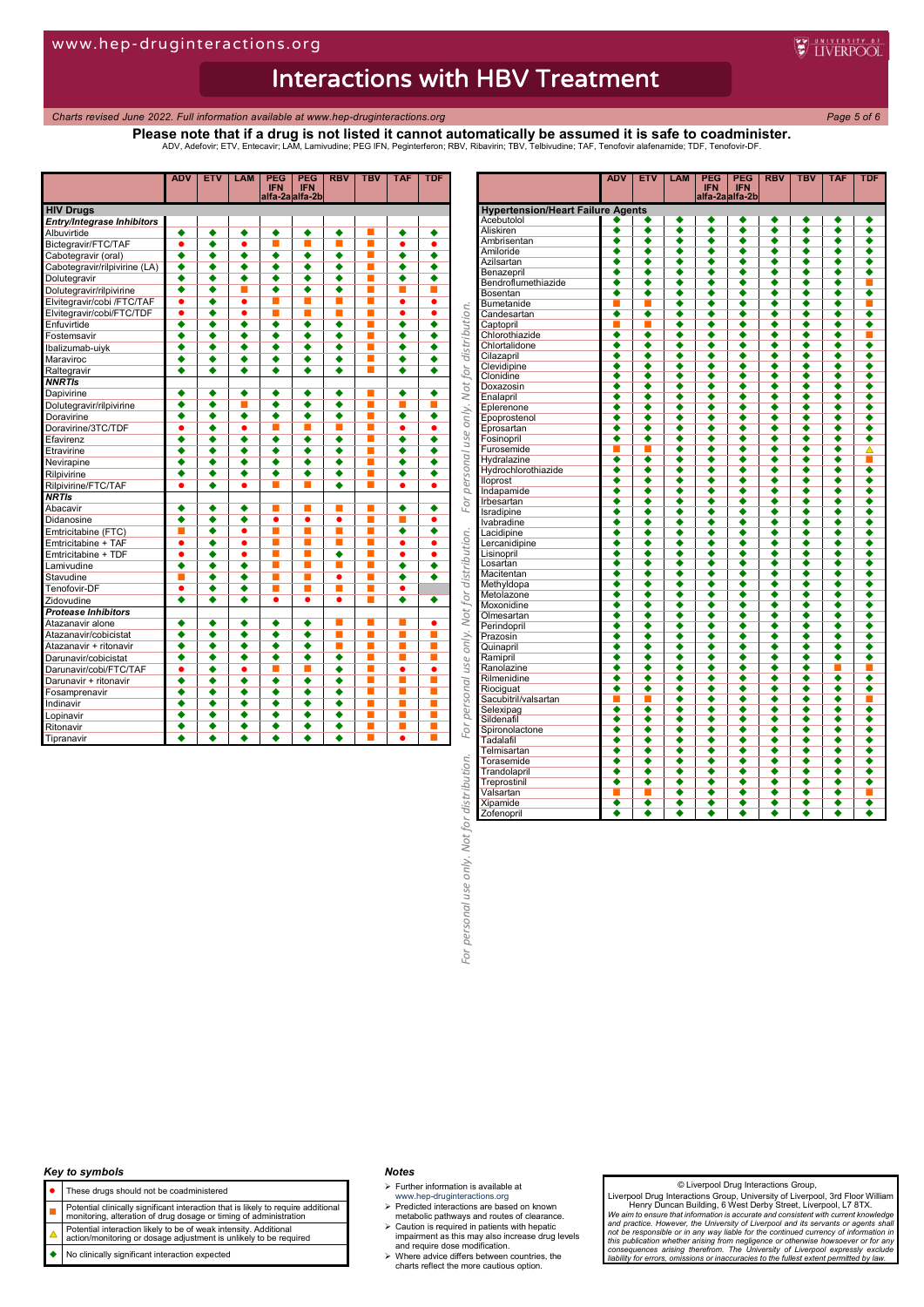# Interactions with HBV Treatment

For personal use only. Not for distribution.

*Charts revised June 2022. Full information available at www.hep-druginteractions.org Page 5 of 6*

**WEINERPOOL** 

**Please note that if a drug is not listed it cannot automatically be assumed it is safe to coadminister.** ADV, Adefovir; ETV, Entecavir; LAM, Lamivudine; PEG IFN, Peginterferon; RBV, Ribavirin; TBV, Telbivudine; TAF, Tenofovir alafenamide; TDF, Tenofovir-DF.

|                                                        | <b>ADV</b>           | <b>ETV</b> | <b>LAM</b> | <b>PEG</b> | <b>PEG</b>                   | <b>RBV</b>           | <b>TBV</b>                                                                                                                                                                                                                        | <b>TAF</b>     | <b>TDF</b> |
|--------------------------------------------------------|----------------------|------------|------------|------------|------------------------------|----------------------|-----------------------------------------------------------------------------------------------------------------------------------------------------------------------------------------------------------------------------------|----------------|------------|
|                                                        |                      |            |            | <b>IFN</b> | <b>IFN</b><br>alfa-2aalfa-2b |                      |                                                                                                                                                                                                                                   |                |            |
|                                                        |                      |            |            |            |                              |                      |                                                                                                                                                                                                                                   |                |            |
| <b>HIV Drugs</b><br><b>Entry/Integrase Inhibitors</b>  |                      |            |            |            |                              |                      |                                                                                                                                                                                                                                   |                |            |
| Albuvirtide                                            | ٠                    | ٠          | ٠          | ٠          | ٠                            | ٠                    |                                                                                                                                                                                                                                   | ٠              | ٠          |
|                                                        | $\bullet$            | ٠          | $\bullet$  |            |                              |                      |                                                                                                                                                                                                                                   | $\bullet$      | ●          |
| Bictegravir/FTC/TAF                                    | $\overline{\bullet}$ |            | ٠          | ٠          | $\overline{\bullet}$         | $\overline{\bullet}$ |                                                                                                                                                                                                                                   | ٠              | ٠          |
| Cabotegravir (oral)<br>Cabotegravir/rilpivirine (LA)   | $\overline{\bullet}$ | ٠          | ٠          | ٠          | ٠                            | $\overline{\bullet}$ |                                                                                                                                                                                                                                   | ٠              | ٠          |
|                                                        | ٠                    |            | ٠          | ٠          | ٠                            | ٠                    |                                                                                                                                                                                                                                   | ٠              |            |
| Dolutegravir                                           | ٠                    | ٠          |            | ٠          | ٠                            | ٠                    |                                                                                                                                                                                                                                   |                |            |
| Dolutegravir/rilpivirine<br>Elvitegravir/cobi /FTC/TAF | $\bullet$            |            | ō          |            |                              |                      |                                                                                                                                                                                                                                   | $\bullet$      |            |
| Elvitegravir/cobi/FTC/TDF                              | $\bullet$            | ٠          | $\bullet$  |            | п                            | п                    | Π                                                                                                                                                                                                                                 | $\bullet$      |            |
| Enfuvirtide                                            | ٠                    |            | ٠          | ٠          | ٠                            | ٠                    |                                                                                                                                                                                                                                   | ٠              |            |
|                                                        | ٠                    |            | ٠          | ٠          | ٠                            | ٠                    |                                                                                                                                                                                                                                   | ٠              |            |
| Fostemsavir<br>Ibalizumab-uiyk                         | ٠                    |            | ٠          | ٠          | ٠                            | ٠                    |                                                                                                                                                                                                                                   |                | ٠          |
| Maraviroc                                              | $\overline{\bullet}$ | ٠          | ٠          | ٠          | ٠                            | $\overline{\bullet}$ |                                                                                                                                                                                                                                   | ٠              | ٠          |
|                                                        | ٠                    | ٠          | ٠          | ٠          | ٠                            | ٠                    |                                                                                                                                                                                                                                   | ٠              | ٠          |
| Raltegravir                                            |                      |            |            |            |                              |                      |                                                                                                                                                                                                                                   |                |            |
| <b>NNRTIS</b>                                          | ٠                    | ٠          | ٠          | ٠          | ٠                            | ٠                    |                                                                                                                                                                                                                                   | ٠              |            |
| Dapivirine                                             | ٠                    | ٠          |            | ٠          | ٠                            | ٠                    |                                                                                                                                                                                                                                   |                |            |
| Dolutegravir/rilpivirine                               | ٠                    |            |            | ٠          | ٠                            |                      |                                                                                                                                                                                                                                   |                |            |
| Doravirine                                             | $\bullet$            |            | ٠<br>٠     |            |                              | ٠                    | <b>Contract Contract Contract Contract Contract Contract Contract Contract Contract Contract Contract Contract C</b>                                                                                                              | ٠<br>$\bullet$ |            |
| Doravirine/3TC/TDF                                     | ٠                    |            | ٠          |            | ٠                            | L.<br>٠              |                                                                                                                                                                                                                                   |                |            |
| Efavirenz                                              |                      |            |            | ٠          | ٠                            | ٠                    | Π                                                                                                                                                                                                                                 | ٠              |            |
| Etravirine                                             | ٠                    | ٠          | ٠          | ٠          |                              |                      |                                                                                                                                                                                                                                   | ٠              | ٠          |
| Nevirapine                                             | ٠                    | ٠          | ٠          | ٠          | ٠                            | ٠                    | <b>Contract Contract Contract Contract Contract Contract Contract Contract Contract Contract Contract Contract C</b>                                                                                                              | ٠              | ٠          |
| Rilpivirine                                            | ٠                    | ٠          | ٠          | ٠          | ٠                            | ٠                    | π                                                                                                                                                                                                                                 | ٠              | ٠          |
| Rilpivirine/FTC/TAF                                    | ٠                    | ٠          |            |            |                              | ٠                    |                                                                                                                                                                                                                                   |                | ●          |
| <b>NRTIS</b>                                           |                      |            |            |            |                              |                      |                                                                                                                                                                                                                                   |                |            |
| Abacavir                                               | ٠                    | ٠          | ٠          |            | п                            | ■                    |                                                                                                                                                                                                                                   | ٠              | ٠          |
| Didanosine                                             | ٠                    | ٠          | ٠          | $\bullet$  | $\bullet$                    | ٠                    | ■                                                                                                                                                                                                                                 |                | ●          |
| Emtricitabine (FTC)                                    | u.                   |            |            |            | п                            | П                    | e de la provincia de la construcción de la construcción de la construcción de la construcción de la construcció<br>En la construcción de la construcción de la construcción de la construcción de la construcción de la construcc | ٠              |            |
| Emtricitabine + TAF                                    | ٠                    |            | ٠          |            | ш                            |                      |                                                                                                                                                                                                                                   | $\bullet$      |            |
| Emtricitabine + TDF                                    | $\bullet$            |            | $\bullet$  |            | п                            | ٠                    | e de la provincia de la construcción de la construcción de la construcción de la construcción de la construcció<br>En la construcción de la construcción de la construcción de la construcción de la construcción de la construcc | ٠              | $\bullet$  |
| Lamivudine                                             | ٠                    |            | ٠          |            | п                            | г                    |                                                                                                                                                                                                                                   | ٠              |            |
| Stavudine                                              |                      | ٠          | ٠          |            | п                            | 0                    |                                                                                                                                                                                                                                   | ٠              |            |
| Tenofovir-DF                                           | ٠                    | ٠          | ٠          | ■          | п                            | п                    | ■                                                                                                                                                                                                                                 | ٠              |            |
| Zidovudine                                             | ٠                    | ٠          | ٠          | ٠          | ٠                            |                      |                                                                                                                                                                                                                                   | ٠              |            |
| <b>Protease Inhibitors</b>                             |                      |            |            |            |                              |                      |                                                                                                                                                                                                                                   |                |            |
| Atazanavir alone                                       | ٠                    |            |            | ٠          | ٠                            |                      |                                                                                                                                                                                                                                   |                |            |
| Atazanavir/cobicistat                                  | ٠                    | ٠          | ٠          | ٠          | ٠                            | п                    | ■                                                                                                                                                                                                                                 | п              |            |
| Atazanavir + ritonavir                                 | ٠                    | ٠          | ٠          | ٠          | ٠                            | П                    |                                                                                                                                                                                                                                   |                |            |
| Darunavir/cobicistat                                   | ٠                    | ٠          |            | ٠          | ٠                            | ٠                    | ■                                                                                                                                                                                                                                 | п              |            |
| Darunavir/cobi/FTC/TAF                                 | $\bullet$            | ٠          | ٠          |            |                              | ٠                    |                                                                                                                                                                                                                                   | ٠              | e          |
| Darunavir + ritonavir                                  | ٠                    | ٠          | ٠          | ٠          | ٠                            | ٠                    |                                                                                                                                                                                                                                   | П              |            |
| Fosamprenavir                                          | ٠                    | ٠          |            | ٠          | ٠                            | ٠                    |                                                                                                                                                                                                                                   |                |            |
| Indinavir                                              | ٠                    | ٠          |            | ٠          | ٠                            |                      |                                                                                                                                                                                                                                   |                |            |
| Lopinavir                                              | ٠                    | ٠          | ٠          | ٠          | ٠                            | ٠                    |                                                                                                                                                                                                                                   |                |            |
| Ritonavir                                              | ٠                    | ٠          | ٠          | ٠          | ٠                            | ٠                    |                                                                                                                                                                                                                                   | ▬              |            |
| Tipranavir                                             |                      |            |            |            |                              |                      |                                                                                                                                                                                                                                   | ٠              |            |

|                                          | <b>ADV</b>           | <b>ETV</b>           | <b>LAM</b>                | <b>PEG</b><br><b>IFN</b> | <b>PEG</b><br><b>IFN</b>     | <b>RBV</b>                | TBV                  | <b>TAF</b>                                   | TDF                  |
|------------------------------------------|----------------------|----------------------|---------------------------|--------------------------|------------------------------|---------------------------|----------------------|----------------------------------------------|----------------------|
|                                          |                      |                      |                           |                          | alfa-2a <mark>alfa-2b</mark> |                           |                      |                                              |                      |
| <b>Hypertension/Heart Failure Agents</b> |                      |                      |                           |                          |                              |                           |                      |                                              |                      |
| Acebutolol                               |                      |                      |                           |                          |                              | ٠                         |                      | ٠                                            |                      |
| <b>Aliskiren</b>                         |                      | ٠                    | ٠                         | ٠                        | ٠                            |                           | $\overline{\bullet}$ | ٠                                            | ٠                    |
| Ambrisentan                              |                      | ٠                    |                           |                          | ٠                            |                           |                      | ٠                                            |                      |
| Amiloride                                |                      | $\overline{\bullet}$ | $\overline{\bullet}$      |                          | $\overline{\bullet}$         | $\overline{\bullet}$      |                      | $\overline{\bullet}$                         | $\overline{\bullet}$ |
| Azilsartan                               | $\overline{\bullet}$ | $\overline{\bullet}$ | ٠                         | ٠                        | $\overline{\bullet}$         |                           | $\overline{\bullet}$ | $\overline{\bullet}$                         | ٠                    |
| Benazepril                               |                      | $\overline{\bullet}$ | $\overline{\bullet}$      |                          | $\overline{\bullet}$         | $\overline{\bullet}$      | $\overline{\bullet}$ | $\overline{\bullet}$                         |                      |
| Bendroflumethiazide                      | ٠                    | ٠                    | ٠<br>$\overline{\bullet}$ | ▲                        | ٠<br>$\overline{\bullet}$    | ٠<br>$\overline{\bullet}$ | ٠                    | ٠                                            |                      |
| <b>Bosentan</b>                          |                      | $\overline{\bullet}$ | $\overline{\bullet}$      | ٠                        | $\overline{\bullet}$         | $\overline{\bullet}$      | $\overline{\bullet}$ | $\overline{\bullet}$<br>$\overline{\bullet}$ | ٠                    |
| Bumetanide<br>Candesartan                | $\overline{\bullet}$ | $\overline{\bullet}$ | ٠                         | ٠                        | $\overline{\bullet}$         | $\overline{\bullet}$      | $\overline{\bullet}$ | $\overline{\bullet}$                         | ٠                    |
|                                          | ┓                    | ┓                    | ◆                         |                          | ٠                            |                           | ٠                    | ٠                                            |                      |
| Captopril<br>Chlorothiazide              | $\overline{\bullet}$ | ٠                    | ٠                         | ٠                        | ٠                            | $\overline{\bullet}$      | ٠                    | $\overline{\bullet}$                         |                      |
| Chlortalidone                            |                      | $\overline{\bullet}$ | ٠                         | ▲                        | ٠                            | $\overline{\bullet}$      | ٠                    | $\overline{\bullet}$                         | ٠                    |
| Cilazapril                               | $\overline{\bullet}$ | $\overline{\bullet}$ | $\overline{\bullet}$      | $\overline{\bullet}$     | $\overline{\bullet}$         | $\overline{\bullet}$      | $\overline{\bullet}$ | $\overline{\bullet}$                         | $\overline{\bullet}$ |
| Clevidipine                              | ٠                    | ٠                    | ٠                         | ▲                        | ٠                            | ٠                         | ٠                    | ٠                                            |                      |
| Clonidine                                |                      | $\overline{\bullet}$ | $\overline{\bullet}$      |                          | $\overline{\bullet}$         | $\overline{\bullet}$      | $\overline{\bullet}$ | $\overline{\bullet}$                         |                      |
| Doxazosin                                | ٠                    | ٠                    | ٠                         | ٠                        | ٠                            | $\overline{\bullet}$      | ٠                    | $\overline{\bullet}$                         | ٠                    |
| Enalapril                                | ٠                    | ٠                    | ٠                         | ▲                        | ٠                            | ٠                         | ٠                    | ٠                                            | ٠                    |
| Eplerenone                               | ٠                    | ٠                    | ٠                         | ٠                        | ٠                            | ٠                         | ٠                    | ٠                                            | ٠                    |
| Epoprostenol                             | ٠                    | ٠                    | ٠                         | ٠                        | ٠                            |                           | ٠                    | ٠                                            |                      |
| Eprosartan                               | ٠                    | $\overline{\bullet}$ | ٠                         |                          | ٠                            | ٠                         | ٠                    | $\overline{\bullet}$                         | ٠                    |
| Fosinopril                               | ٠                    | ٠                    | ٠                         | ٠                        | ٠                            | $\overline{\bullet}$      | ٠                    | ٠                                            | ٠                    |
| Furosemide                               |                      |                      | ٠                         | ▲                        | ٠                            | ٠                         | ٠                    | ٠                                            | Δ                    |
| Hydralazine                              | $\overline{\bullet}$ | $\overline{\bullet}$ | $\overline{\bullet}$      | $\overline{\bullet}$     | $\overline{\bullet}$         | $\overline{\bullet}$      | ◆                    | $\overline{\bullet}$                         |                      |
| Hydrochlorothiazide                      |                      | ٠                    |                           | ▲                        | ٠                            |                           | ٠                    | ٠                                            | ٠                    |
| lloprost                                 |                      | ٠                    | ٠                         |                          | ٠                            | ٠                         | ٠                    | ٠                                            | ٠                    |
| Indapamide                               | $\overline{\bullet}$ | $\overline{\bullet}$ | $\overline{\bullet}$      | ٠                        | $\overline{\bullet}$         | $\overline{\bullet}$      | $\overline{\bullet}$ | $\overline{\bullet}$                         | ٠                    |
| Irbesartan                               | ٠                    | ٠                    | ٠                         | ٠                        | ٠                            | ٠                         | $\overline{\bullet}$ | ٠                                            | ٠                    |
| Isradipine                               |                      | $\overline{\bullet}$ | $\overline{\bullet}$      | $\overline{\bullet}$     | $\overline{\bullet}$         | $\overline{\bullet}$      | $\overline{\bullet}$ | $\overline{\bullet}$                         | $\overline{\bullet}$ |
| Ivabradine                               | ٠                    | ٠                    | ٠                         | ۸                        | ٠                            | ٠                         | ٠                    | ٠                                            |                      |
| Lacidipine                               |                      | $\overline{\bullet}$ | $\overline{\bullet}$      |                          | $\overline{\bullet}$         | $\overline{\bullet}$      | ٠                    | $\overline{\bullet}$                         | ٠                    |
| Lercanidipine                            | $\overline{\bullet}$ | $\overline{\bullet}$ | $\overline{\bullet}$      | ٠                        | $\overline{\bullet}$         | $\overline{\bullet}$      | $\overline{\bullet}$ | $\overline{\bullet}$                         | ٠                    |
| Lisinopril                               |                      | ٠                    | ٠                         | ٠                        | ٠                            | ٠                         | ٠                    | ٠                                            | ٠                    |
| Losartan                                 |                      | $\ddot{\bullet}$     | ▲                         |                          | $\ddot{\bullet}$             | ▲                         | ▲                    | $\overline{\bullet}$                         | ▲                    |
| Macitentan                               | ٠                    | $\overline{\bullet}$ | $\overline{\bullet}$      | ▲                        | $\overline{\bullet}$         | $\overline{\bullet}$      | ٠                    | $\overline{\bullet}$                         | $\overline{\bullet}$ |
| Methyldopa                               |                      | $\overline{\bullet}$ | ٠                         |                          | $\overline{\bullet}$         | $\overline{\bullet}$      | ٠                    | $\overline{\bullet}$                         | ٠                    |
| Metolazone                               | $\overline{\bullet}$ | $\overline{\bullet}$ | $\overline{\bullet}$      | $\overline{\bullet}$     | $\overline{\bullet}$         | $\overline{\bullet}$      | $\overline{\bullet}$ | $\overline{\bullet}$                         | $\overline{\bullet}$ |
| Moxonidine                               |                      | ٠                    | ٠                         | ٠                        | ٠                            | ٠                         | ٠                    | ٠                                            | ٠                    |
| Olmesartan                               |                      | $\overline{\bullet}$ | $\overline{\bullet}$      |                          | $\overline{\bullet}$         | $\overline{\bullet}$      |                      | $\overline{\bullet}$                         | $\overline{\bullet}$ |
| Perindopril                              | ٠                    | ٠                    | ٠                         | ٠                        | ٠                            | $\overline{\bullet}$      | ٠                    | $\overline{\bullet}$                         | ٠                    |
| Prazosin                                 |                      | ٠                    | ٠                         |                          | ٠                            | ٠                         | ٠                    | ٠                                            | ٠                    |
| Quinapril                                | $\overline{\bullet}$ | $\overline{\bullet}$ | $\overline{\bullet}$      | ٠                        | $\overline{\bullet}$         | $\overline{\bullet}$      | $\overline{\bullet}$ | $\overline{\bullet}$                         | $\overline{\bullet}$ |
| Ramipril                                 | ٠                    | ٠                    | ٠                         | ٠                        | ٠                            | ٠                         | ٠                    | ٠                                            | ٠                    |
| Ranolazine                               |                      | ٠                    |                           |                          | ٠                            |                           |                      |                                              |                      |
| Rilmenidine                              | ٠                    | $\overline{\bullet}$ | ٠                         | ▲                        | ٠                            | $\overline{\bullet}$      | ٠                    | $\overline{\bullet}$                         | ٠                    |
| Riociguat                                | ٠                    | $\overline{\bullet}$ | ٠                         | ▲                        | ٠                            | ٠                         | ٠                    | ٠                                            | ٠                    |
| Sacubitril/valsartan                     |                      |                      | $\overline{\bullet}$      | $\overline{\bullet}$     | $\overline{\bullet}$         | $\overline{\bullet}$      | $\overline{\bullet}$ | $\overline{\bullet}$                         |                      |
| Selexipag                                | ٠                    | ٠                    | ٠                         | ٠                        | ٠                            |                           | ٠                    | ٠                                            |                      |
| Sildenafil                               |                      | ◆                    | ٠                         |                          | ٠                            | ▲                         |                      | ٠                                            | ٠                    |
| Spironolactone                           |                      | ٠                    | $\overline{\bullet}$      |                          | ۵                            | ō                         | ٠                    | $\overline{\bullet}$                         | ō                    |
| Tadalafil                                |                      |                      |                           | $\overline{\bullet}$     |                              |                           |                      | $\overline{\bullet}$                         |                      |
| Telmisartan                              |                      | $\overline{\bullet}$ | $\overline{\bullet}$      |                          | $\overline{\bullet}$         | $\overline{\bullet}$      | $\overline{\bullet}$ | $\overline{\bullet}$                         |                      |
| Torasemide                               | ٠                    | ٠                    | ٠                         | ▲                        | ٠                            | ٠                         | ٠                    | ٠                                            | ٠                    |
| Trandolapril                             |                      | $\overline{\bullet}$ | $\overline{\bullet}$      | ▲                        | $\overline{\bullet}$         | $\overline{\bullet}$      | ۵                    | $\overline{\bullet}$                         | $\overline{\bullet}$ |
| Treprostinil                             | $\overline{\bullet}$ | $\overline{\bullet}$ | $\overline{\bullet}$      | ٠                        | $\overline{\bullet}$         | $\overline{\bullet}$      | $\overline{\bullet}$ | $\overline{\bullet}$                         | $\overline{\bullet}$ |
| Valsartan                                | п                    | г                    | ٠                         | ٠                        | $\overline{\bullet}$         | $\overline{\bullet}$      | $\overline{\bullet}$ | $\overline{\bullet}$                         |                      |
| Xipamide                                 | $\overline{\bullet}$ | $\overline{\bullet}$ | $\overline{\bullet}$      | ٠                        | $\overline{\bullet}$         | $\overline{\bullet}$      | $\overline{\bullet}$ | $\overline{\bullet}$                         | $\overline{\bullet}$ |
| Zofenopril                               | ٠                    | ٠                    | ٠                         | ٠                        | ٠                            | ٠                         | ٠                    | ٠                                            | ٠                    |

*For personal use only. Not for distribution. For personal use only. Not for distribution. For personal use only. Not for distribution.* personal use only. Not for distribution. For personal use only. Not for distribution. For

#### *Key to symbols*

- These drugs should not be coadministered
- 
- **Potential clinically significant interaction that is likely to require additional**<br>monitoring, alteration of drug dosage or timing of administration
- Potential interaction likely to be of weak intensity. Additional action/monitoring or dosage adjustment is unlikely to be required
- No clinically significant interaction expected

# Caution is required in patients with hepatic impairment as this may also increase drug levels and require dose modification. Where advice differs between countries, the charts reflect the more cautious option.

 $\triangleright$  Further information is available at www.hep-druginteractions.org Predicted interactions are based on known metabolic pathways and routes of clearance.

*Notes*

#### © Liverpool Drug Interactions Group,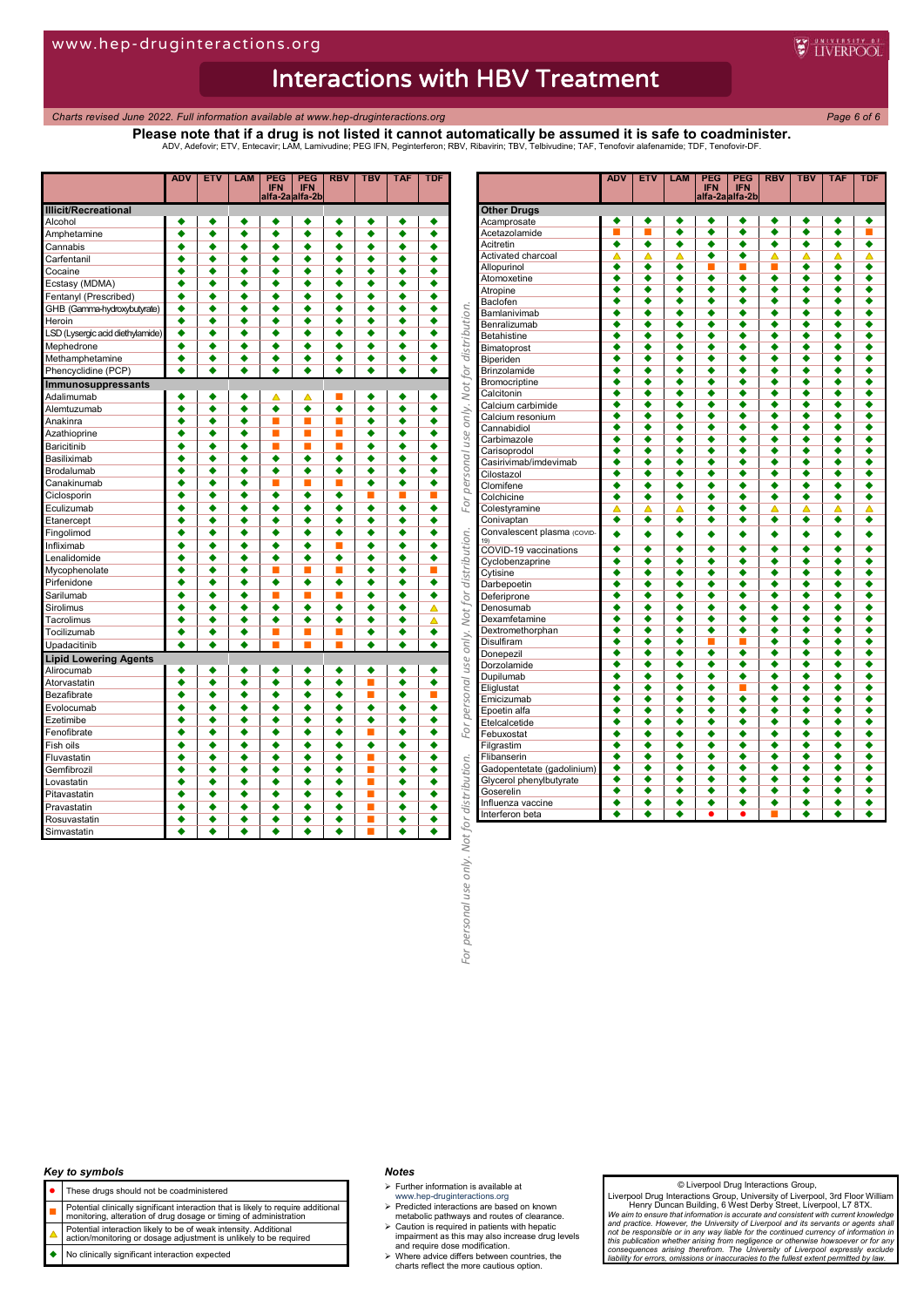# Interactions with HBV Treatment

**Charts revised June 2022. Full information available at www.hep-druginteractions.org Page 66** *of 66**of 66**of 6**of 6**of 6**of 6**of 6**of 6**of 6**of 6**of 6**of 6**of 6**of 6**of 6**of 6**of 6**of 6*

**WEINERPOOL** 

**Please note that if a drug is not listed it cannot automatically be assumed it is safe to coadminister.** ADV, Adefovir; ETV, Entecavir; LAM, Lamivudine; PEG IFN, Peginterferon; RBV, Ribavirin; TBV, Telbivudine; TAF, Tenofovir alafenamide; TDF, Tenofovir-DF.

*For personal use only. Not for distribution. For personal use only. Not for distribution. For personal use only. Not for distribution.*

personal use only. Not for distribution.

For

For personal use only. Not for distribution.

For personal use only. Not for distribution.

|                                  | <b>ADV</b>           | <b>ETV</b> | <b>LAM</b> | <b>PEG</b><br><b>IFN</b> | <b>PEG</b><br><b>IFN</b><br>alfa-2aalfa-2b | <b>RBV</b> | <b>TBV</b> | <b>TAF</b> | <b>TDF</b> |
|----------------------------------|----------------------|------------|------------|--------------------------|--------------------------------------------|------------|------------|------------|------------|
| <b>Illicit/Recreational</b>      |                      |            |            |                          |                                            |            |            |            |            |
| Alcohol                          |                      |            | ٠          |                          | ٠                                          | ٠          | ٠          | ٠          |            |
| Amphetamine                      | ٠                    | ٠          | ٠          | ٠                        | ٠                                          | ٠          | ٠          | ٠          | ٠          |
| Cannabis                         | ٠                    | ٠          | ٠          | ٠                        | ٠                                          | ٠          | ٠          | ٠          | ٠          |
| Carfentanil                      | ٠                    | ٠          | ٠          | ٠                        | ٠                                          | ٠          | ٠          | ٠          | ٠          |
| Cocaine                          | ٠                    | ٠          | ٠          | ٠                        | ٠                                          | ٠          | ٠          | ٠          | ٠          |
| Ecstasy (MDMA)                   | ٠                    | ٠          | ٠          | ٠                        | ٠                                          | ٠          | ٠          | ٠          | ٠          |
| Fentanyl (Prescribed)            | ٠                    | ٠          | ٠          | ٠                        | ٠                                          | ٠          | ٠          | ٠          | ٠          |
| GHB (Gamma-hydroxybutyrate)      | ٠                    | ٠          | ٠          | ٠                        | ٠                                          | ٠          | ٠          | ٠          | ٠          |
| Heroin                           | ۰                    | ٠          | ٠          | ٠                        | ٠                                          | ٠          | ٠          | ٠          | ٠          |
| LSD (Lysergic acid diethylamide) | ٠                    | ٠          | ٠          | ٠                        | ٠                                          | ٠          | ٠          | ٠          | ٠          |
| Mephedrone                       | ٠                    | ٠          | ٠          | ٠                        | ٠                                          | ٠          | ٠          | ٠          | ٠          |
| Methamphetamine                  | ٠                    | ٠          | ٠          | ٠                        | ٠                                          | ٠          | ٠          | ٠          | ٠          |
| Phencyclidine (PCP)              | $\overline{\bullet}$ | ٠          | ٠          | ٠                        | ٠                                          | ٠          | ٠          | ٠          | ٠          |
| <b>Immunosuppressants</b>        |                      |            |            |                          |                                            |            |            |            |            |
| Adalimumab                       | ٠                    | ٠          | ٠          | Δ                        | Δ                                          | п          | ٠          | ٠          | ٠          |
| Alemtuzumab                      | ٠                    | ٠          | ٠          | ٠                        | ٠                                          | ٠          | ٠          | ٠          | ٠          |
| Anakinra                         | ٠                    | ٠          | ٠          | П                        | п                                          | г          | ٠          | ٠          | ٠          |
| Azathioprine                     | ٠                    | ٠          | ٠          | П                        |                                            | г          | ٠          | ٠          | ٠          |
| <b>Baricitinib</b>               | ٠                    | ٠          | ٠          | ш                        | п                                          | п          | ٠          | ٠          | ٠          |
| Basiliximab                      | ٠                    | ٠          | ٠          | ٠                        | ٠                                          | ٠          | ٠          | ٠          | ٠          |
| Brodalumab                       | ٠                    | ٠          | ٠          | ٠                        | ٠                                          | ٠          | ٠          | ٠          | ٠          |
| Canakinumab                      | ٠                    | ٠          | ٠          | П                        | п                                          | п          | ٠          | ٠          | ٠          |
| Ciclosporin                      | ٠                    | ٠          | ٠          | ٠                        | ٠                                          | ٠          |            | г          |            |
| Eculizumab                       | ٠                    | ٠          | ٠          | ٠                        | ٠                                          | ٠          | ٠          | ٠          | ٠          |
| Etanercept                       | ٠                    | ٠          | ٠          | ٠                        | ٠                                          | ٠          | ٠          | ٠          | ٠          |
| Fingolimod                       | ٠                    | ٠          | ٠          | ٠                        | ٠                                          | ٠          | ٠          | ٠          | ٠          |
| Infliximab                       | ٠                    | ٠          | ٠          | ٠                        | ٠                                          | п          | ٠          | ٠          | ٠          |
| Lenalidomide                     | ٠                    | ٠          | ٠          | ٠                        | ٠                                          | ٠          | ٠          | ٠          | ٠          |
| Mycophenolate                    | ٠                    | ٠          | ٠          | П                        | п                                          | п          | ٠          | ٠          | п          |
| Pirfenidone                      | ٠                    | ٠          | ٠          | ٠                        | ٠                                          | ٠          | ٠          | ٠          | ٠          |
| Sarilumab                        | ٠                    | ٠          | ٠          | П                        |                                            |            | ٠          | ٠          | ٠          |
| Sirolimus                        | ٠                    | ٠          | ٠          | ٠                        | ٠                                          | ٠          | ٠          | ٠          | Δ          |
| Tacrolimus                       | ٠                    | ٠          | ٠          | ٠                        | ٠                                          | ٠          | ٠          | ٠          | Δ          |
| Tocilizumab                      | ٠                    | ٠          | ٠          | П                        | п                                          | г          | ٠          | ٠          | ٠          |
| Upadacitinib                     | ٠                    | ٠          | ٠          | п                        |                                            | г          | ٠          | ٠          | ٠          |
| <b>Lipid Lowering Agents</b>     |                      |            |            |                          |                                            |            |            |            |            |
| Alirocumab                       | ٠                    |            | ٠          | ٠                        | ٠                                          | ٠          | ٠          | ٠          | ٠          |
| Atorvastatin                     | ٠                    | ٠          | ٠          | ٠                        | ٠                                          | ٠          | П          | ٠          | ٠          |
| Bezafibrate                      | ٠                    | ٠          | ٠          | ٠                        | ٠                                          | ٠          | П          | ٠          | п          |
| Evolocumab                       | ٠                    | ٠          | ٠          | ٠                        | ٠                                          | ٠          | ٠          | ٠          | ٠          |
| Ezetimibe                        | ٠                    | ٠          | ٠          | ٠                        | ٠                                          | ٠          | ٠          | ٠          | ٠          |
| Fenofibrate                      | ٠                    | ٠          | ٠          | ٠                        | ٠                                          | ٠          | П          | ٠          | ٠          |
| Fish oils                        | ٠                    | ٠          | ٠          | ٠                        | ٠                                          | ٠          | ٠          | ٠          | ٠          |
| Fluvastatin                      | ٠                    | ٠          | ٠          | ٠                        | ٠                                          | ٠          | П          | ٠          | ٠          |
| Gemfibrozil                      | ٠                    | ٠          | ٠          | ٠                        | ٠                                          | ٠          | П          | ٠          | ٠          |
| Lovastatin                       | ٠                    | ٠          | ٠          | ٠                        | ٠                                          | ٠          | П          | ٠          | ٠          |
| Pitavastatin                     | ٠                    | ٠          | ٠          | ٠                        | ٠                                          | ٠          | П          | ٠          | ٠          |
| Pravastatin                      | ٠                    | ٠          | ٠          | ٠                        | ٠                                          | ٠          | П          | ٠          | ٠          |
| Rosuvastatin                     | ٠                    | ٠          | ٠          | ٠                        | ٠                                          | ٠          | П          | ٠          | ٠          |
| Simvastatin                      | ٠                    | ٠          | ٠          | ٠                        | ٠                                          | ٠          | П          | ٠          | ٠          |

|                                      | <b>ADV</b>                | ETV                  | LAM                       | <b>PEG</b><br><b>IFN</b> | <b>PEG</b><br><b>IFN</b><br>alfa-2a alfa-2b | <b>RBV</b>           | TBV                       | <b>TAF</b>           | TDF                  |
|--------------------------------------|---------------------------|----------------------|---------------------------|--------------------------|---------------------------------------------|----------------------|---------------------------|----------------------|----------------------|
| <b>Other Drugs</b>                   |                           |                      |                           |                          |                                             |                      |                           |                      |                      |
| Acamprosate                          |                           |                      |                           |                          |                                             |                      |                           |                      |                      |
| Acetazolamide                        |                           |                      | ∙                         | $\overline{\bullet}$     | $\overline{\bullet}$                        | $\overline{\bullet}$ | $\overline{\bullet}$      | $\overline{\bullet}$ |                      |
| Acitretin                            | $\overline{\bullet}$      | $\overline{\bullet}$ | ٠                         | ٠                        | ٠                                           | ٠                    | ٠                         | ٠                    | ٠                    |
| Activated charcoal                   | Δ                         | Δ                    | Δ                         | ٠                        | ٠                                           | ▵                    | Δ                         | △                    | Δ                    |
| Allopurinol                          | ٠                         | $\overline{\bullet}$ | ٠                         |                          | ш                                           | п                    | ٠                         | ٠                    | ٠                    |
| Atomoxetine                          | ٠                         | ٠                    | ٠                         | ٠                        | ٠                                           | ٠                    | ٠                         | ٠                    | ٠                    |
|                                      | ٠                         | ٠                    | ٠                         | ٠                        | ٠                                           | ٠                    | ٠                         | ٠                    | ٠                    |
| Atropine                             |                           | ٠                    | ٠                         | ٠                        | ٠                                           | ٠                    | ٠                         | ٠                    | ٠                    |
| Baclofen<br>Bamlanivimab             |                           | ٠                    |                           | ٠                        | ٠                                           | ٠                    |                           | ٠                    | ٠                    |
|                                      | ٠<br>$\overline{\bullet}$ | $\overline{\bullet}$ | ٠<br>$\overline{\bullet}$ | ٠                        | ٠                                           | $\overline{\bullet}$ | ٠<br>$\overline{\bullet}$ | $\overline{\bullet}$ | $\overline{\bullet}$ |
| Benralizumab                         |                           | ٠                    |                           |                          |                                             |                      |                           |                      |                      |
| Betahistine                          | ٠                         |                      | ٠                         | ٠                        | ٠                                           | ٠                    | ٠                         | ٠                    | ٠                    |
| Bimatoprost                          |                           | ٠                    | ٠                         | ٠                        | ٠                                           | ٠                    | ٠                         | ٠                    | ٠                    |
| Biperiden                            | $\overline{\bullet}$      | $\overline{\bullet}$ | $\overline{\bullet}$      | ٠                        | ٠                                           | $\overline{\bullet}$ | $\overline{\bullet}$      | $\overline{\bullet}$ | $\overline{\bullet}$ |
| Brinzolamide                         | ٠                         | ٠                    | ٠                         | ٠                        | ٠                                           | ٠                    | ٠                         | ٠                    | ٠                    |
| Bromocriptine                        | ٠                         | ٠                    | ٠                         | ٠                        | ٠                                           | ٠                    | ٠                         | ٠                    | ٠                    |
| Calcitonin                           | ٠                         | $\overline{\bullet}$ | $\overline{\bullet}$      | ٠                        | ٠                                           | ٠                    | $\overline{\bullet}$      | $\overline{\bullet}$ | ٠                    |
| Calcium carbimide                    | ٠                         | $\overline{\bullet}$ | ٠                         | ٠                        | ٠                                           | ٠                    | ٠                         | ٠                    | ٠                    |
| Calcium resonium                     | ٠                         | ٠                    | ٠                         | ٠                        | ٠                                           | ٠                    | ٠                         | ٠                    | ٠                    |
| Cannabidiol                          | ٠                         | ٠                    | ٠                         | ٠                        | ٠                                           | ٠                    | ٠                         | ٠                    | ٠                    |
| Carbimazole                          | ٠                         | ٠                    | ٠                         | ٠                        | ٠                                           | ٠                    | ٠                         | ٠                    | ٠                    |
| Carisoprodol                         | ٠                         | ٠                    | ٠                         | ٠                        | ٠                                           | ٠                    | ٠                         | ٠                    | ٠                    |
| Casirivimab/imdevimab                | ٠                         | ٠                    | ٠                         | ٠                        | ٠                                           | ٠                    | ٠                         | ٠                    | ٠                    |
| Cilostazol                           | ٠                         | ٠                    | ٠                         | ٠                        | ٠                                           | ٠                    | ٠                         | ٠                    | ٠                    |
| Clomifene                            | $\overline{\bullet}$      | $\overline{\bullet}$ | $\overline{\bullet}$      | ٠                        | ٠                                           | ٠                    | ٠                         | $\overline{\bullet}$ | $\overline{\bullet}$ |
| Colchicine                           | ٠                         | ٠                    | ٠                         | ٠                        | ٠                                           | ٠                    | ٠                         | ٠                    | ٠                    |
| Colestyramine                        | Δ                         | Δ                    | Δ                         | ٠                        | ٠                                           | Δ                    | Δ                         | △                    | Δ                    |
| Conivaptan                           | $\overline{\bullet}$      | $\overline{\bullet}$ | ٠                         | ٠                        | ٠                                           | ٠                    | ٠                         | $\overline{\bullet}$ | ٠                    |
| Convalescent plasma (COVID-<br>19)   | ٠                         | ٠                    |                           |                          |                                             | ٠                    | ٠                         |                      |                      |
| COVID-19 vaccinations                | $\overline{\bullet}$      | $\overline{\bullet}$ | $\overline{\bullet}$      | $\overline{\bullet}$     | ٠                                           | $\overline{\bullet}$ | $\overline{\bullet}$      | $\overline{\bullet}$ | $\overline{\bullet}$ |
| Cyclobenzaprine                      | ٠                         | ٠                    | ٠                         | ٠                        | ٠                                           | ٠                    | ٠                         | ٠                    | ٠                    |
| Cytisine                             | ٠                         | ٠                    | ٠                         | ٠                        | ٠                                           | ٠                    | ٠                         | ٠                    | ٠                    |
| Darbepoetin                          | ٠                         | ٠                    | ٠                         | ٠                        | ٠                                           | ٠                    | ٠                         | ٠                    | ٠                    |
| Deferiprone                          | ٠                         | ٠                    | ٠                         | ٠                        | ٠                                           | ٠                    | ٠                         | ٠                    | ٠                    |
| Denosumab                            | ٠                         | ٠                    | ٠                         | ٠                        | ٠                                           | ٠                    | ٠                         | ٠                    | ٠                    |
| Dexamfetamine                        | ٠                         | ٠                    | ٠                         | ٠                        | ٠                                           | ٠                    | ٠                         | ٠                    | ٠                    |
| Dextromethorphan                     | ٠                         | ٠                    | ٠                         | ٠                        | ٠                                           | ٠                    | ٠                         | ٠                    | ٠                    |
| Disulfiram                           | ٠                         | ٠                    | ٠                         |                          |                                             | ٠                    | ٠                         | ٠                    | ٠                    |
| Donepezil                            | ٠                         | ٠                    | ٠                         | ٠                        | ٠                                           | ٠                    | ٠                         | ٠                    | ٠                    |
| Dorzolamide                          | ٠                         | ٠                    | ٠                         | ٠                        | ٠                                           | ٠                    | ٠                         | ٠                    | ٠                    |
| Dupilumab                            |                           | ٠                    | ٠                         | ٠                        | ٠                                           | ٠                    | ٠                         | ٠                    | ٠                    |
| Eliglustat                           | ٠                         | ٠                    | ٠                         | ٠                        | n a                                         | ٠                    | ٠                         | ٠                    | ٠                    |
| Emicizumab                           | ٠                         | ٠                    | ٠                         | ٠                        | ٠                                           | ٠                    | ٠                         | ٠                    | ٠                    |
| Epoetin alfa                         |                           | ٠                    | ٠                         | ٠                        | ٠                                           | ٠                    | ٠                         | ٠                    | ٠                    |
| Etelcalcetide                        | ٠                         | ٠                    | ٠                         | ٠                        | ٠                                           | ٠                    | ٠                         | ٠                    | ٠                    |
| Febuxostat                           | ٠                         | ٠                    | ٠                         | ٠                        | ٠                                           | ٠                    | ٠                         | ٠                    | ٠                    |
| Filgrastim                           | ٠                         | ٠                    | ٠                         | ٠                        | ٠                                           | ٠                    | ٠                         | ٠                    | ٠                    |
| Flibanserin                          | ٠                         | ٠                    | ٠                         | ٠                        | ٠                                           | ٠                    | ٠                         | ٠                    | ٠                    |
|                                      | $\overline{\bullet}$      | $\overline{\bullet}$ | $\overline{\bullet}$      | ٠                        | ٠                                           | ٠                    | $\overline{\bullet}$      | ٠                    | ٠                    |
| Gadopentetate (gadolinium)           | ٠                         | ٠                    | ٠                         | ٠                        | ٠                                           | ٠                    | ٠                         | ۰                    | ٠                    |
| Glycerol phenylbutyrate<br>Goserelin | ٠                         | ٠                    | ٠                         | ٠                        | ٠                                           | ٠                    | ٠                         | ٠                    | ٠                    |
|                                      | ٠                         | ٠                    | ٠                         | ٠                        | ٠                                           | ٠                    | ٠                         | ٠                    | ٠                    |
| Influenza vaccine                    | $\overline{\bullet}$      | $\overline{\bullet}$ | $\overline{\bullet}$      | $\bullet$                | ٠                                           |                      | ٠                         | ٠                    |                      |
| Interferon beta                      |                           |                      |                           |                          |                                             |                      |                           |                      |                      |

#### *Key to symbols*

- These drugs should not be coadministered
- 
- **Potential clinically significant interaction that is likely to require additional**<br>monitoring, alteration of drug dosage or timing of administration
- Potential interaction likely to be of weak intensity. Additional action/monitoring or dosage adjustment is unlikely to be required
- No clinically significant interaction expected

#### *Notes*

- $\triangleright$  Further information is available at
- 
- www.hep-druginteractions.org Predicted interactions are based on known metabolic pathways and routes of clearance.
- Caution is required in patients with hepatic impairment as this may also increase drug levels and require dose modification. Where advice differs between countries, the charts reflect the more cautious option.
- 

#### © Liverpool Drug Interactions Group,